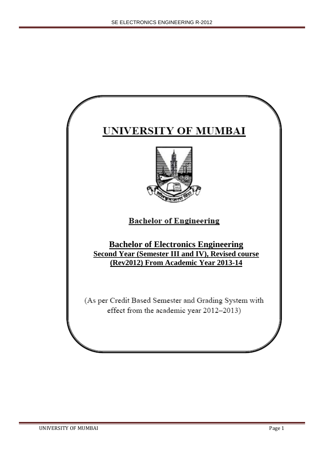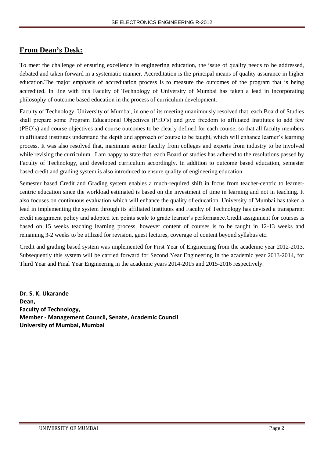# **From Dean's Desk:**

To meet the challenge of ensuring excellence in engineering education, the issue of quality needs to be addressed, debated and taken forward in a systematic manner. Accreditation is the principal means of quality assurance in higher education.The major emphasis of accreditation process is to measure the outcomes of the program that is being accredited. In line with this Faculty of Technology of University of Mumbai has taken a lead in incorporating philosophy of outcome based education in the process of curriculum development.

Faculty of Technology, University of Mumbai, in one of its meeting unanimously resolved that, each Board of Studies shall prepare some Program Educational Objectives (PEO's) and give freedom to affiliated Institutes to add few (PEO's) and course objectives and course outcomes to be clearly defined for each course, so that all faculty members in affiliated institutes understand the depth and approach of course to be taught, which will enhance learner's learning process. It was also resolved that, maximum senior faculty from colleges and experts from industry to be involved while revising the curriculum. I am happy to state that, each Board of studies has adhered to the resolutions passed by Faculty of Technology, and developed curriculum accordingly. In addition to outcome based education, semester based credit and grading system is also introduced to ensure quality of engineering education.

Semester based Credit and Grading system enables a much-required shift in focus from teacher-centric to learnercentric education since the workload estimated is based on the investment of time in learning and not in teaching. It also focuses on continuous evaluation which will enhance the quality of education. University of Mumbai has taken a lead in implementing the system through its affiliated Institutes and Faculty of Technology has devised a transparent credit assignment policy and adopted ten points scale to grade learner's performance.Credit assignment for courses is based on 15 weeks teaching learning process, however content of courses is to be taught in 12-13 weeks and remaining 3-2 weeks to be utilized for revision, guest lectures, coverage of content beyond syllabus etc.

Credit and grading based system was implemented for First Year of Engineering from the academic year 2012-2013. Subsequently this system will be carried forward for Second Year Engineering in the academic year 2013-2014, for Third Year and Final Year Engineering in the academic years 2014-2015 and 2015-2016 respectively.

**Dr. S. K. Ukarande Dean, Faculty of Technology, Member - Management Council, Senate, Academic Council University of Mumbai, Mumbai**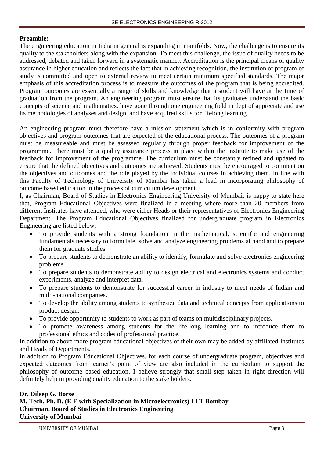## **Preamble:**

The engineering education in India in general is expanding in manifolds. Now, the challenge is to ensure its quality to the stakeholders along with the expansion. To meet this challenge, the issue of quality needs to be addressed, debated and taken forward in a systematic manner. Accreditation is the principal means of quality assurance in higher education and reflects the fact that in achieving recognition, the institution or program of study is committed and open to external review to meet certain minimum specified standards. The major emphasis of this accreditation process is to measure the outcomes of the program that is being accredited. Program outcomes are essentially a range of skills and knowledge that a student will have at the time of graduation from the program. An engineering program must ensure that its graduates understand the basic concepts of science and mathematics, have gone through one engineering field in dept of appreciate and use its methodologies of analyses and design, and have acquired skills for lifelong learning.

An engineering program must therefore have a mission statement which is in conformity with program objectives and program outcomes that are expected of the educational process. The outcomes of a program must be measureable and must be assessed regularly through proper feedback for improvement of the programme. There must be a quality assurance process in place within the Institute to make use of the feedback for improvement of the programme. The curriculum must be constantly refined and updated to ensure that the defined objectives and outcomes are achieved. Students must be encouraged to comment on the objectives and outcomes and the role played by the individual courses in achieving them. In line with this Faculty of Technology of University of Mumbai has taken a lead in incorporating philosophy of outcome based education in the process of curriculum development.

I, as Chairman, Board of Studies in Electronics Engineering University of Mumbai, is happy to state here that, Program Educational Objectives were finalized in a meeting where more than 20 members from different Institutes have attended, who were either Heads or their representatives of Electronics Engineering Department. The Program Educational Objectives finalized for undergraduate program in Electronics Engineering are listed below;

- To provide students with a strong foundation in the mathematical, scientific and engineering fundamentals necessary to formulate, solve and analyze engineering problems at hand and to prepare them for graduate studies.
- To prepare students to demonstrate an ability to identify, formulate and solve electronics engineering problems.
- To prepare students to demonstrate ability to design electrical and electronics systems and conduct experiments, analyze and interpret data.
- To prepare students to demonstrate for successful career in industry to meet needs of Indian and multi-national companies.
- To develop the ability among students to synthesize data and technical concepts from applications to product design.
- To provide opportunity to students to work as part of teams on multidisciplinary projects.
- To promote awareness among students for the life-long learning and to introduce them to professional ethics and codes of professional practice.

In addition to above more program educational objectives of their own may be added by affiliated Institutes and Heads of Departments.

In addition to Program Educational Objectives, for each course of undergraduate program, objectives and expected outcomes from learner's point of view are also included in the curriculum to support the philosophy of outcome based education. I believe strongly that small step taken in right direction will definitely help in providing quality education to the stake holders.

## **Dr. Dileep G. Borse M. Tech. Ph. D. (E E with Specialization in Microelectronics) I I T Bombay Chairman, Board of Studies in Electronics Engineering University of Mumbai**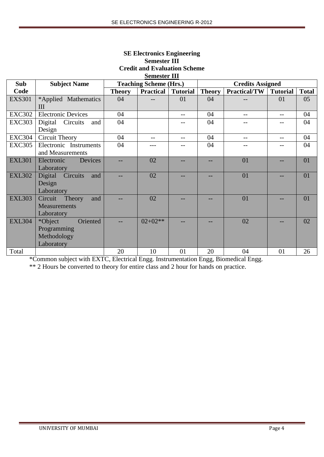|               |                                                                 |               | Credit and Evaluation Scheme<br><b>Semester III</b> |                   |               |                         |                 |              |
|---------------|-----------------------------------------------------------------|---------------|-----------------------------------------------------|-------------------|---------------|-------------------------|-----------------|--------------|
| Sub           | <b>Subject Name</b>                                             |               | <b>Teaching Scheme (Hrs.)</b>                       |                   |               | <b>Credits Assigned</b> |                 |              |
| Code          |                                                                 | <b>Theory</b> | <b>Practical</b>                                    | <b>Tutorial</b>   | <b>Theory</b> | <b>Practical/TW</b>     | <b>Tutorial</b> | <b>Total</b> |
| <b>EXS301</b> | *Applied Mathematics<br>Ш                                       | 04            |                                                     | 01                | 04            |                         | 01              | 05           |
| <b>EXC302</b> | <b>Electronic Devices</b>                                       | 04            |                                                     | $\qquad \qquad -$ | 04            | $-$                     | $-$             | 04           |
| <b>EXC303</b> | Digital<br>Circuits<br>and<br>Design                            | 04            |                                                     |                   | 04            |                         |                 | 04           |
| <b>EXC304</b> | Circuit Theory                                                  | 04            |                                                     | $-$               | 04            | $-$                     |                 | 04           |
| <b>EXC305</b> | Electronic Instruments<br>and Measurements                      | 04            |                                                     |                   | 04            |                         |                 | 04           |
| <b>EXL301</b> | Devices<br>Electronic<br>Laboratory                             |               | 02                                                  |                   |               | 01                      |                 | 01           |
| <b>EXL302</b> | Digital<br>Circuits<br>and<br>Design<br>Laboratory              |               | 02                                                  |                   |               | 01                      |                 | 01           |
| <b>EXL303</b> | Circuit<br>Theory<br>and<br><b>Measurements</b><br>Laboratory   |               | 02                                                  |                   |               | 01                      |                 | 01           |
| <b>EXL304</b> | *Object<br>Oriented<br>Programming<br>Methodology<br>Laboratory |               | $02+02**$                                           |                   |               | 02                      |                 | 02           |
| Total         |                                                                 | 20            | 10                                                  | 01                | 20            | 04                      | 01              | 26           |

# **SE Electronics Engineering Semester III Ait and Evaluation Scho**

\*Common subject with EXTC, Electrical Engg. Instrumentation Engg, Biomedical Engg.

\*\* 2 Hours be converted to theory for entire class and 2 hour for hands on practice.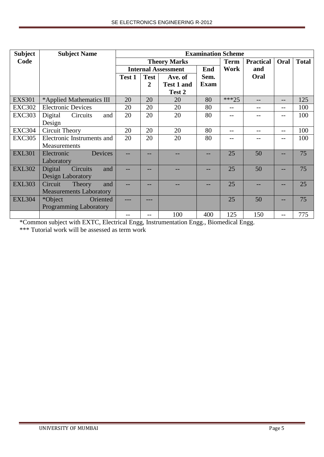| <b>Subject</b> | <b>Subject Name</b>               |        |             |                            | <b>Examination Scheme</b> |             |                  |       |              |
|----------------|-----------------------------------|--------|-------------|----------------------------|---------------------------|-------------|------------------|-------|--------------|
| Code           |                                   |        |             | <b>Theory Marks</b>        |                           | <b>Term</b> | <b>Practical</b> | Oral  | <b>Total</b> |
|                |                                   |        |             | <b>Internal Assessment</b> | End                       | Work        | and              |       |              |
|                |                                   | Test 1 | <b>Test</b> | Ave. of                    | Sem.                      |             | Oral             |       |              |
|                |                                   |        | 2           | <b>Test 1 and</b>          | <b>Exam</b>               |             |                  |       |              |
|                |                                   |        |             | Test 2                     |                           |             |                  |       |              |
| <b>EXS301</b>  | *Applied Mathematics III          | 20     | 20          | 20                         | 80                        | $***25$     |                  | $- -$ | 125          |
| <b>EXC302</b>  | <b>Electronic Devices</b>         | 20     | 20          | 20                         | 80                        | $- -$       |                  | --    | 100          |
| <b>EXC303</b>  | and<br>Digital<br>Circuits        | 20     | 20          | 20                         | 80                        |             |                  | $-$   | 100          |
|                | Design                            |        |             |                            |                           |             |                  |       |              |
| <b>EXC304</b>  | <b>Circuit Theory</b>             | 20     | 20          | 20                         | 80                        | $- -$       |                  | --    | 100          |
| <b>EXC305</b>  | Electronic Instruments and        | 20     | 20          | 20                         | 80                        |             |                  |       | 100          |
|                | Measurements                      |        |             |                            |                           |             |                  |       |              |
| <b>EXL301</b>  | Devices<br>Electronic             |        | --          |                            |                           | 25          | 50               | --    | 75           |
|                | Laboratory                        |        |             |                            |                           |             |                  |       |              |
| <b>EXL302</b>  | Digital<br><b>Circuits</b><br>and |        |             |                            |                           | 25          | 50               |       | 75           |
|                | <b>Design Laboratory</b>          |        |             |                            |                           |             |                  |       |              |
| <b>EXL303</b>  | Theory<br>Circuit<br>and          |        |             |                            |                           | 25          |                  |       | 25           |
|                | <b>Measurements Laboratory</b>    |        |             |                            |                           |             |                  |       |              |
| <b>EXL304</b>  | *Object<br>Oriented               |        | ---         |                            |                           | 25          | 50               | --    | 75           |
|                | <b>Programming Laboratory</b>     |        |             |                            |                           |             |                  |       |              |
|                |                                   |        | --          | 100                        | 400                       | 125         | 150              | $-$   | 775          |

\*Common subject with EXTC, Electrical Engg, Instrumentation Engg., Biomedical Engg.

\*\*\* Tutorial work will be assessed as term work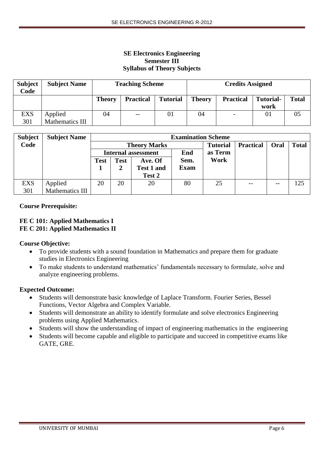## **SE Electronics Engineering Semester III Syllabus of Theory Subjects**

| <b>Subject</b><br>Code | <b>Subject Name</b>               |               | <b>Teaching Scheme</b> |                 |               | <b>Credits Assigned</b>  |                          |              |
|------------------------|-----------------------------------|---------------|------------------------|-----------------|---------------|--------------------------|--------------------------|--------------|
|                        |                                   | <b>Theory</b> | <b>Practical</b>       | <b>Tutorial</b> | <b>Theory</b> | <b>Practical</b>         | <b>Tutorial-</b><br>work | <b>Total</b> |
| <b>EXS</b><br>301      | Applied<br><b>Mathematics III</b> | 04            | $- -$                  | 01              | 04            | $\overline{\phantom{0}}$ | 01                       | 05           |

| <b>Subject</b> | <b>Subject Name</b> |             |             |                            | <b>Examination Scheme</b> |                 |                  |       |              |
|----------------|---------------------|-------------|-------------|----------------------------|---------------------------|-----------------|------------------|-------|--------------|
| Code           |                     |             |             | <b>Theory Marks</b>        |                           | <b>Tutorial</b> | <b>Practical</b> | Oral  | <b>Total</b> |
|                |                     |             |             | <b>Internal assessment</b> | End                       | as Term         |                  |       |              |
|                |                     | <b>Test</b> | <b>Test</b> | Ave. Of                    | Sem.                      | Work            |                  |       |              |
|                |                     |             | 2           | <b>Test 1 and</b>          | <b>Exam</b>               |                 |                  |       |              |
|                |                     |             |             | Test 2                     |                           |                 |                  |       |              |
| <b>EXS</b>     | Applied             | 20          | 20          | 20                         | 80                        | 25              | $- -$            | $- -$ | 125          |
| 301            | Mathematics III     |             |             |                            |                           |                 |                  |       |              |

## **Course Prerequisite:**

### **FE C 101: Applied Mathematics I FE C 201: Applied Mathematics II**

### **Course Objective:**

- To provide students with a sound foundation in Mathematics and prepare them for graduate studies in Electronics Engineering
- To make students to understand mathematics' fundamentals necessary to formulate, solve and analyze engineering problems.

### **Expected Outcome:**

- Students will demonstrate basic knowledge of Laplace Transform. Fourier Series, Bessel Functions, Vector Algebra and Complex Variable.
- Students will demonstrate an ability to identify formulate and solve electronics Engineering problems using Applied Mathematics.
- Students will show the understanding of impact of engineering mathematics in the engineering
- Students will become capable and eligible to participate and succeed in competitive exams like GATE, GRE.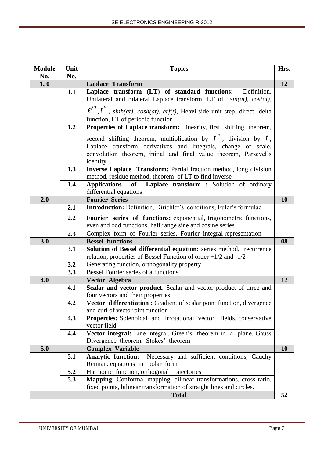| <b>Module</b> | Unit | <b>Topics</b>                                                                                   | Hrs.      |
|---------------|------|-------------------------------------------------------------------------------------------------|-----------|
| No.           | No.  |                                                                                                 |           |
| 1.0           |      | <b>Laplace Transform</b>                                                                        | 12        |
|               | 1.1  | Laplace transform (LT) of standard functions:<br>Definition.                                    |           |
|               |      | Unilateral and bilateral Laplace transform, LT of $sin(at)$ , $cos(at)$ ,                       |           |
|               |      | $e^{at}$ , $t^n$ , sinh(at), cosh(at), erf(t), Heavi-side unit step, direct-delta               |           |
|               |      | function, LT of periodic function                                                               |           |
|               | 1.2  | Properties of Laplace transform: linearity, first shifting theorem,                             |           |
|               |      | second shifting theorem, multiplication by $t^n$ , division by $t$ ,                            |           |
|               |      | Laplace transform derivatives and integrals, change of scale,                                   |           |
|               |      | convolution theorem, initial and final value theorem, Parsevel's                                |           |
|               |      | identity                                                                                        |           |
|               | 1.3  | Inverse Laplace Transform: Partial fraction method, long division                               |           |
|               |      | method, residue method, theorem of LT to find inverse                                           |           |
|               | 1.4  | Laplace transform : Solution of ordinary<br><b>Applications</b><br>of<br>differential equations |           |
| 2.0           |      | <b>Fourier Series</b>                                                                           | <b>10</b> |
|               | 2.1  | Introduction: Definition, Dirichlet's conditions, Euler's formulae                              |           |
|               | 2.2  | Fourier series of functions: exponential, trigonometric functions,                              |           |
|               |      | even and odd functions, half range sine and cosine series                                       |           |
|               | 2.3  | Complex form of Fourier series, Fourier integral representation                                 |           |
| 3.0           |      | <b>Bessel functions</b>                                                                         | 08        |
|               | 3.1  | Solution of Bessel differential equation: series method, recurrence                             |           |
|               |      | relation, properties of Bessel Function of order $+1/2$ and $-1/2$                              |           |
|               | 3.2  | Generating function, orthogonality property                                                     |           |
|               | 3.3  | Bessel Fourier series of a functions                                                            |           |
| 4.0           |      | Vector Algebra                                                                                  | 12        |
|               | 4.1  | Scalar and vector product: Scalar and vector product of three and                               |           |
|               |      | four vectors and their properties                                                               |           |
|               | 4.2  | Vector differentiation : Gradient of scalar point function, divergence                          |           |
|               |      | and curl of vector pint function                                                                |           |
|               | 4.3  | <b>Properties:</b> Solenoidal and Irrotational vector fields, conservative<br>vector field      |           |
|               | 4.4  | Vector integral: Line integral, Green's theorem in a plane, Gauss                               |           |
|               |      | Divergence theorem, Stokes' theorem                                                             |           |
| 5.0           |      | <b>Complex Variable</b>                                                                         | <b>10</b> |
|               | 5.1  | <b>Analytic function:</b><br>Necessary and sufficient conditions, Cauchy                        |           |
|               |      | Reiman equations in polar form                                                                  |           |
|               | 5.2  | Harmonic function, orthogonal trajectories                                                      |           |
|               | 5.3  | Mapping: Conformal mapping, bilinear transformations, cross ratio,                              |           |
|               |      | fixed points, bilinear transformation of straight lines and circles.                            |           |
|               |      | <b>Total</b>                                                                                    | 52        |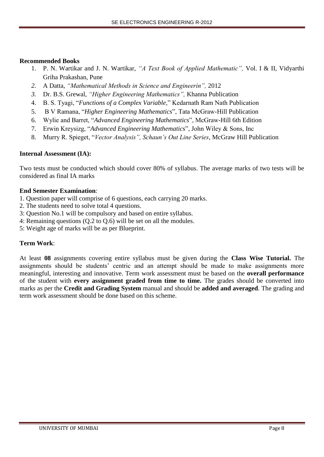## **Recommended Books**

- 1. P. N. Wartikar and J. N. Wartikar, *"A Text Book of Applied Mathematic",* Vol. I & II, Vidyarthi Griha Prakashan, Pune
- *2.* A Datta, *"Mathematical Methods in Science and Engineerin",* 2012
- *3.* Dr. B.S. Grewal, *"Higher Engineering Mathematics",* Khanna Publication
- 4. B. S. Tyagi, "*Functions of a Complex Variable*," Kedarnath Ram Nath Publication
- 5. B V Ramana, "*Higher Engineering Mathematics*", Tata McGraw-Hill Publication
- 6. Wylie and Barret, "*Advanced Engineering Mathematics*", McGraw-Hill 6th Edition
- 7. Erwin Kreysizg, "*Advanced Engineering Mathematics*", John Wiley & Sons, Inc
- 8. Murry R. Spieget, "*Vector Analysis", Schaun's Out Line Series*, McGraw Hill Publication

## **Internal Assessment (IA):**

Two tests must be conducted which should cover 80% of syllabus. The average marks of two tests will be considered as final IA marks

## **End Semester Examination**:

- 1. Question paper will comprise of 6 questions, each carrying 20 marks.
- 2. The students need to solve total 4 questions.
- 3: Question No.1 will be compulsory and based on entire syllabus.
- 4: Remaining questions (Q.2 to Q.6) will be set on all the modules.
- 5: Weight age of marks will be as per Blueprint.

## **Term Work**:

At least **08** assignments covering entire syllabus must be given during the **Class Wise Tutorial.** The assignments should be students' centric and an attempt should be made to make assignments more meaningful, interesting and innovative. Term work assessment must be based on the **overall performance** of the student with **every assignment graded from time to time.** The grades should be converted into marks as per the **Credit and Grading System** manual and should be **added and averaged**. The grading and term work assessment should be done based on this scheme.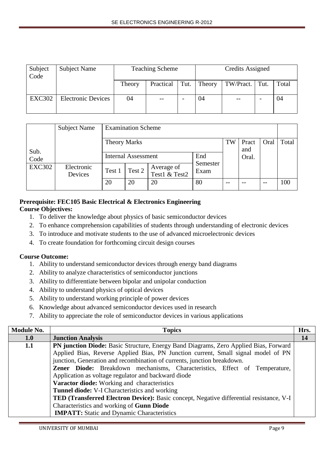| Subject<br>Code | Subject Name              |        | <b>Teaching Scheme</b> |      |        | Credits Assigned               |       |
|-----------------|---------------------------|--------|------------------------|------|--------|--------------------------------|-------|
|                 |                           | Theory | Practical              | Tut. | Theory | $\vert$ TW/Pract. $\vert$ Tut. | Total |
| <b>EXC302</b>   | <b>Electronic Devices</b> | 04     |                        |      | 04     |                                | 04    |

|               | Subject Name          |                     | <b>Examination Scheme</b>  |                             |                  |      |              |       |       |
|---------------|-----------------------|---------------------|----------------------------|-----------------------------|------------------|------|--------------|-------|-------|
| Sub.          |                       | <b>Theory Marks</b> |                            |                             |                  | TW   | Pract<br>and | Oral  | Total |
| Code          |                       |                     | <b>Internal Assessment</b> |                             | End              |      | Oral.        |       |       |
| <b>EXC302</b> | Electronic<br>Devices | Test 1              | Test 2                     | Average of<br>Test1 & Test2 | Semester<br>Exam |      |              |       |       |
|               |                       | 20                  | 20                         | 20                          | 80               | $ -$ |              | $- -$ | 100   |

## **Prerequisite: FEC105 Basic Electrical & Electronics Engineering Course Objectives:**

- 1. To deliver the knowledge about physics of basic semiconductor devices
- 2. To enhance comprehension capabilities of students through understanding of electronic devices
- 3. To introduce and motivate students to the use of advanced microelectronic devices
- 4. To create foundation for forthcoming circuit design courses

## **Course Outcome:**

- 1. Ability to understand semiconductor devices through energy band diagrams
- 2. Ability to analyze characteristics of semiconductor junctions
- 3. Ability to differentiate between bipolar and unipolar conduction
- 4. Ability to understand physics of optical devices
- 5. Ability to understand working principle of power devices
- 6. Knowledge about advanced semiconductor devices used in research
- 7. Ability to appreciate the role of semiconductor devices in various applications

| <b>Module No.</b> | <b>Topics</b>                                                                           | Hrs.      |
|-------------------|-----------------------------------------------------------------------------------------|-----------|
| 1.0               | <b>Junction Analysis</b>                                                                | <b>14</b> |
| 1.1               | PN junction Diode: Basic Structure, Energy Band Diagrams, Zero Applied Bias, Forward    |           |
|                   | Applied Bias, Reverse Applied Bias, PN Junction current, Small signal model of PN       |           |
|                   | junction, Generation and recombination of currents, junction breakdown.                 |           |
|                   | Zener Diode: Breakdown mechanisms, Characteristics, Effect of Temperature,              |           |
|                   | Application as voltage regulator and backward diode                                     |           |
|                   | Varactor diode: Working and characteristics                                             |           |
|                   | <b>Tunnel diode:</b> V-I Characteristics and working                                    |           |
|                   | TED (Transferred Electron Device): Basic concept, Negative differential resistance, V-I |           |
|                   | Characteristics and working of Gunn Diode                                               |           |
|                   | <b>IMPATT:</b> Static and Dynamic Characteristics                                       |           |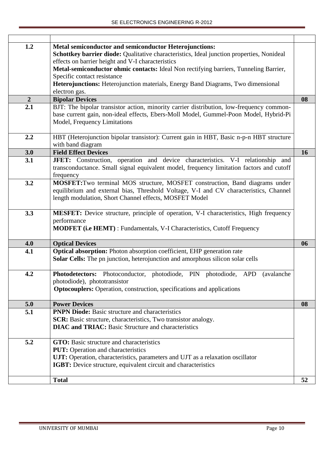| 1.2            | Metal semiconductor and semiconductor Heterojunctions:<br>Schottkey barrier diode: Qualitative characteristics, Ideal junction properties, Nonideal<br>effects on barrier height and V-I characteristics<br>Metal-semiconductor ohmic contacts: Ideal Non rectifying barriers, Tunneling Barrier,<br>Specific contact resistance<br>Heterojunctions: Heterojunction materials, Energy Band Diagrams, Two dimensional<br>electron gas. |           |
|----------------|---------------------------------------------------------------------------------------------------------------------------------------------------------------------------------------------------------------------------------------------------------------------------------------------------------------------------------------------------------------------------------------------------------------------------------------|-----------|
| $\overline{2}$ | <b>Bipolar Devices</b>                                                                                                                                                                                                                                                                                                                                                                                                                | 08        |
| 2.1            | BJT: The bipolar transistor action, minority carrier distribution, low-frequency common-<br>base current gain, non-ideal effects, Ebers-Moll Model, Gummel-Poon Model, Hybrid-Pi<br>Model, Frequency Limitations                                                                                                                                                                                                                      |           |
| 2.2            | HBT (Heterojunction bipolar transistor): Current gain in HBT, Basic n-p-n HBT structure<br>with band diagram                                                                                                                                                                                                                                                                                                                          |           |
| 3.0            | <b>Field Effect Devices</b>                                                                                                                                                                                                                                                                                                                                                                                                           | <b>16</b> |
| 3.1            | JFET: Construction, operation and device characteristics. V-I relationship and<br>transconductance. Small signal equivalent model, frequency limitation factors and cutoff<br>frequency                                                                                                                                                                                                                                               |           |
| 3.2            | MOSFET: Two terminal MOS structure, MOSFET construction, Band diagrams under<br>equilibrium and external bias, Threshold Voltage, V-I and CV characteristics, Channel<br>length modulation, Short Channel effects, MOSFET Model                                                                                                                                                                                                       |           |
| 3.3            | MESFET: Device structure, principle of operation, V-I characteristics, High frequency<br>performance<br><b>MODFET</b> (i.e HEMT) : Fundamentals, V-I Characteristics, Cutoff Frequency                                                                                                                                                                                                                                                |           |
| 4.0            | <b>Optical Devices</b>                                                                                                                                                                                                                                                                                                                                                                                                                | 06        |
| 4.1            | Optical absorption: Photon absorption coefficient, EHP generation rate<br>Solar Cells: The pn junction, heterojunction and amorphous silicon solar cells                                                                                                                                                                                                                                                                              |           |
| 4.2            | Photodetectors: Photoconductor, photodiode, PIN photodiode, APD (avalanche<br>photodiode), phototransistor<br><b>Optocouplers:</b> Operation, construction, specifications and applications                                                                                                                                                                                                                                           |           |
| 5.0            | <b>Power Devices</b>                                                                                                                                                                                                                                                                                                                                                                                                                  | 08        |
| 5.1            | <b>PNPN Diode:</b> Basic structure and characteristics<br><b>SCR:</b> Basic structure, characteristics, Two transistor analogy.<br><b>DIAC and TRIAC:</b> Basic Structure and characteristics                                                                                                                                                                                                                                         |           |
| 5.2            | GTO: Basic structure and characteristics<br><b>PUT:</b> Operation and characteristics<br>UJT: Operation, characteristics, parameters and UJT as a relaxation oscillator<br>IGBT: Device structure, equivalent circuit and characteristics                                                                                                                                                                                             |           |
|                | <b>Total</b>                                                                                                                                                                                                                                                                                                                                                                                                                          | 52        |
|                |                                                                                                                                                                                                                                                                                                                                                                                                                                       |           |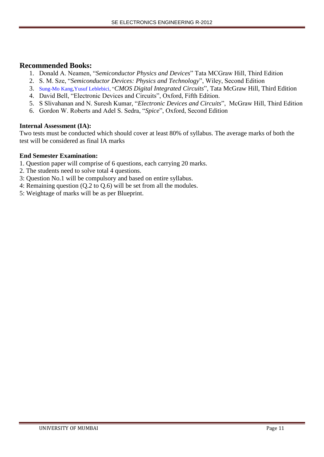## **Recommended Books:**

- 1. Donald A. Neamen, "*Semiconductor Physics and Devices*" Tata MCGraw Hill, Third Edition
- 2. S. M. Sze, "*Semiconductor Devices: Physics and Technology*", Wiley, Second Edition
- 3. [Sung-Mo Kang](https://www.google.co.in/search?hl=en&sa=G&biw=1170&bih=491&tbm=bks&tbm=bks&q=inauthor:%22Sung-Mo+Kang%22&ei=MTBxUZ6FI8SmrAet64DACg&ved=0CDIQ9AgwAA)[,Yusuf Leblebici,](https://www.google.co.in/search?hl=en&sa=G&biw=1170&bih=491&tbm=bks&tbm=bks&q=inauthor:%22Yusuf+Leblebici%22&ei=MTBxUZ6FI8SmrAet64DACg&ved=0CDMQ9AgwAA) "*CMOS Digital Integrated Circuits*", Tata McGraw Hill, Third Edition
- 4. David Bell, "Electronic Devices and Circuits", Oxford, Fifth Edition.
- 5. S Slivahanan and N. Suresh Kumar, "*Electronic Devices and Circuits*", McGraw Hill, Third Edition
- 6. Gordon W. Roberts and Adel S. Sedra, "*Spice*", Oxford, Second Edition

### **Internal Assessment (IA):**

Two tests must be conducted which should cover at least 80% of syllabus. The average marks of both the test will be considered as final IA marks

- 1. Question paper will comprise of 6 questions, each carrying 20 marks.
- 2. The students need to solve total 4 questions.
- 3: Question No.1 will be compulsory and based on entire syllabus.
- 4: Remaining question (Q.2 to Q.6) will be set from all the modules.
- 5: Weightage of marks will be as per Blueprint.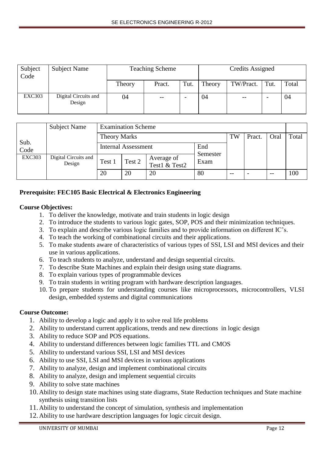| Subject<br>Code | <b>Subject Name</b>            |        | <b>Teaching Scheme</b> |      |        | Credits Assigned  |      |       |
|-----------------|--------------------------------|--------|------------------------|------|--------|-------------------|------|-------|
|                 |                                | Theory | Pract.                 | Tut. | Theory | TW/Pract.         | Tut. | Total |
| <b>EXC303</b>   | Digital Circuits and<br>Design | 04     | $- -$                  |      | 04     | $\qquad \qquad -$ |      | 04    |

|               | <b>Subject Name</b>            |                     | <b>Examination Scheme</b>  |                             |                 |        |      |       |     |
|---------------|--------------------------------|---------------------|----------------------------|-----------------------------|-----------------|--------|------|-------|-----|
|               |                                | <b>Theory Marks</b> |                            |                             | TW              | Pract. | Oral | Total |     |
| Sub.<br>Code  |                                |                     | <b>Internal Assessment</b> |                             | End<br>Semester |        |      |       |     |
| <b>EXC303</b> | Digital Circuits and<br>Design | Test 1              | Test 2                     | Average of<br>Test1 & Test2 | Exam            |        |      |       |     |
|               |                                | 20                  | 20                         | 20                          | 80              | --     |      |       | 100 |

## **Prerequisite: FEC105 Basic Electrical & Electronics Engineering**

## **Course Objectives:**

- 1. To deliver the knowledge, motivate and train students in logic design
- 2. To introduce the students to various logic gates, SOP, POS and their minimization techniques.
- 3. To explain and describe various logic families and to provide information on different IC's.
- 4. To teach the working of combinational circuits and their applications.
- 5. To make students aware of characteristics of various types of SSI, LSI and MSI devices and their use in various applications.
- 6. To teach students to analyze, understand and design sequential circuits.
- 7. To describe State Machines and explain their design using state diagrams.
- 8. To explain various types of programmable devices
- 9. To train students in writing program with hardware description languages.
- 10. To prepare students for understanding courses like microprocessors, microcontrollers, VLSI design, embedded systems and digital communications

## **Course Outcome:**

- 1. Ability to develop a logic and apply it to solve real life problems
- 2. Ability to understand current applications, trends and new directions in logic design
- 3. Ability to reduce SOP and POS equations.
- 4. Ability to understand differences between logic families TTL and CMOS
- 5. Ability to understand various SSI, LSI and MSI devices
- 6. Ability to use SSI, LSI and MSI devices in various applications
- 7. Ability to analyze, design and implement combinational circuits
- 8. Ability to analyze, design and implement sequential circuits
- 9. Ability to solve state machines
- 10. Ability to design state machines using state diagrams, State Reduction techniques and State machine synthesis using transition lists
- 11. Ability to understand the concept of simulation, synthesis and implementation
- 12. Ability to use hardware description languages for logic circuit design.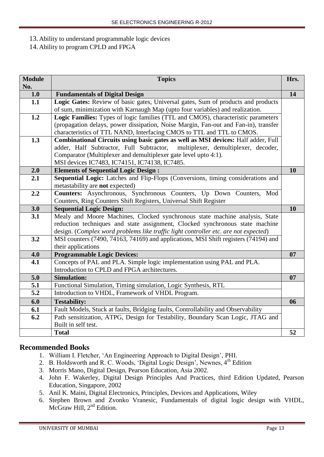## 13. Ability to understand programmable logic devices

14. Ability to program CPLD and FPGA

| <b>Module</b><br>No. | <b>Topics</b>                                                                                                                                                                                                                                                                             | Hrs. |
|----------------------|-------------------------------------------------------------------------------------------------------------------------------------------------------------------------------------------------------------------------------------------------------------------------------------------|------|
| 1.0                  | <b>Fundamentals of Digital Design</b>                                                                                                                                                                                                                                                     | 14   |
| 1.1                  | Logic Gates: Review of basic gates, Universal gates, Sum of products and products<br>of sum, minimization with Karnaugh Map (upto four variables) and realization.                                                                                                                        |      |
| 1.2                  | Logic Families: Types of logic families (TTL and CMOS), characteristic parameters<br>(propagation delays, power dissipation, Noise Margin, Fan-out and Fan-in), transfer<br>characteristics of TTL NAND, Interfacing CMOS to TTL and TTL to CMOS.                                         |      |
| 1.3                  | Combinational Circuits using basic gates as well as MSI devices: Half adder, Full<br>adder, Half Subtractor, Full Subtractor,<br>multiplexer, demultiplexer, decoder,<br>Comparator (Multiplexer and demultiplexer gate level upto 4:1).<br>MSI devices IC7483, IC74151, IC74138, IC7485. |      |
| 2.0                  | <b>Elements of Sequential Logic Design:</b>                                                                                                                                                                                                                                               | 10   |
| 2.1                  | Sequential Logic: Latches and Flip-Flops (Conversions, timing considerations and<br>metastability are not expected)                                                                                                                                                                       |      |
| 2.2                  | Counters: Asynchronous, Synchronous Counters, Up Down Counters, Mod<br>Counters, Ring Counters Shift Registers, Universal Shift Register                                                                                                                                                  |      |
| 3.0                  | <b>Sequential Logic Design:</b>                                                                                                                                                                                                                                                           | 10   |
| 3.1                  | Mealy and Moore Machines, Clocked synchronous state machine analysis, State<br>reduction techniques and state assignment, Clocked synchronous state machine                                                                                                                               |      |
|                      |                                                                                                                                                                                                                                                                                           |      |
| 3.2                  | design. (Complex word problems like traffic light controller etc. are not expected)<br>MSI counters (7490, 74163, 74169) and applications, MSI Shift registers (74194) and                                                                                                                |      |
| 4.0                  | their applications<br><b>Programmable Logic Devices:</b>                                                                                                                                                                                                                                  | 07   |
| 4.1                  | Concepts of PAL and PLA. Simple logic implementation using PAL and PLA.<br>Introduction to CPLD and FPGA architectures.                                                                                                                                                                   |      |
| 5.0                  | <b>Simulation:</b>                                                                                                                                                                                                                                                                        | 07   |
| 5.1                  | Functional Simulation, Timing simulation, Logic Synthesis, RTL                                                                                                                                                                                                                            |      |
| 5.2                  | Introduction to VHDL, Framework of VHDL Program.                                                                                                                                                                                                                                          |      |
| 6.0                  | <b>Testability:</b>                                                                                                                                                                                                                                                                       | 06   |
| 6.1                  | Fault Models, Stuck at faults, Bridging faults, Controllability and Observability                                                                                                                                                                                                         |      |
| 6.2                  | Path sensitization, ATPG, Design for Testability, Boundary Scan Logic, JTAG and<br>Built in self test.                                                                                                                                                                                    |      |

# **Recommended Books**

- 1. William I. Fletcher, 'An Engineering Approach to Digital Design', PHI.
- 2. B. Holdsworth and R. C. Woods, 'Digital Logic Design', Newnes, 4<sup>th</sup> Edition
- 3. Morris Mano, Digital Design, Pearson Education, Asia 2002.
- 4. John F. Wakerley, Digital Design Principles And Practices, third Edition Updated, Pearson Education, Singapore, 2002
- 5. Anil K. Maini, Digital Electronics, Principles, Devices and Applications, Wiley
- 6. Stephen Brown and Zvonko Vranesic, Fundamentals of digital logic design with VHDL, McGraw Hill, 2<sup>nd</sup> Edition.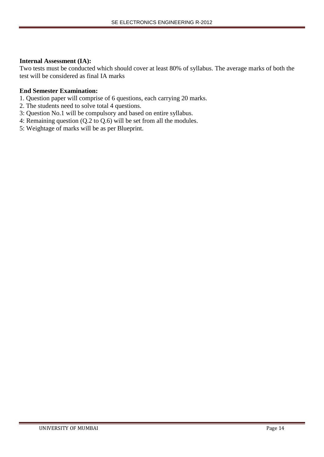### **Internal Assessment (IA):**

Two tests must be conducted which should cover at least 80% of syllabus. The average marks of both the test will be considered as final IA marks

- 1. Question paper will comprise of 6 questions, each carrying 20 marks.
- 2. The students need to solve total 4 questions.
- 3: Question No.1 will be compulsory and based on entire syllabus.
- 4: Remaining question (Q.2 to Q.6) will be set from all the modules.
- 5: Weightage of marks will be as per Blueprint.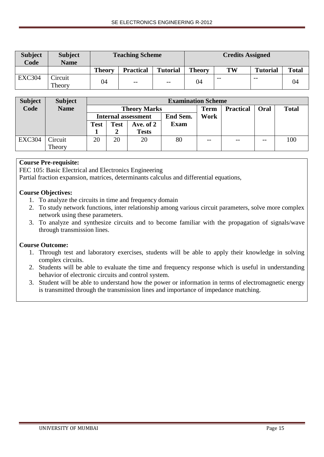| <b>Subject</b><br>Code | <b>Subject</b><br><b>Name</b> |               | <b>Teaching Scheme</b>   |                 | <b>Credits Assigned</b> |       |                 |              |  |  |
|------------------------|-------------------------------|---------------|--------------------------|-----------------|-------------------------|-------|-----------------|--------------|--|--|
|                        |                               | <b>Theory</b> | <b>Practical</b>         | <b>Tutorial</b> | <b>Theory</b>           | TW    | <b>Tutorial</b> | <b>Total</b> |  |  |
| <b>EXC304</b>          | <b>Circuit</b><br>Theory      | 04            | $\overline{\phantom{m}}$ | $- -$           | 04                      | $- -$ | $- -$           | 04           |  |  |

| <b>Subject</b> | <b>Subject</b> |             | <b>Examination Scheme</b> |                            |             |       |                  |       |              |  |  |
|----------------|----------------|-------------|---------------------------|----------------------------|-------------|-------|------------------|-------|--------------|--|--|
| Code           | <b>Name</b>    |             |                           | <b>Theory Marks</b>        |             | Term  | <b>Practical</b> | Oral  | <b>Total</b> |  |  |
|                |                |             |                           | <b>Internal assessment</b> | End Sem.    | Work  |                  |       |              |  |  |
|                |                | <b>Test</b> | <b>Test</b>               | Ave. of 2                  | <b>Exam</b> |       |                  |       |              |  |  |
|                |                |             |                           | <b>Tests</b>               |             |       |                  |       |              |  |  |
| <b>EXC304</b>  | Circuit        | 20          | 20                        | 20                         | 80          | $- -$ | $- -$            | $- -$ | 100          |  |  |
|                | Theory         |             |                           |                            |             |       |                  |       |              |  |  |

## **Course Pre-requisite:**

FEC 105: Basic Electrical and Electronics Engineering

Partial fraction expansion, matrices, determinants calculus and differential equations,

## **Course Objectives:**

- 1. To analyze the circuits in time and frequency domain
- 2. To study network functions, inter relationship among various circuit parameters, solve more complex network using these parameters.
- 3. To analyze and synthesize circuits and to become familiar with the propagation of signals/wave through transmission lines.

## **Course Outcome:**

- 1. Through test and laboratory exercises, students will be able to apply their knowledge in solving complex circuits.
- 2. Students will be able to evaluate the time and frequency response which is useful in understanding behavior of electronic circuits and control system.
- 3. Student will be able to understand how the power or information in terms of electromagnetic energy is transmitted through the transmission lines and importance of impedance matching.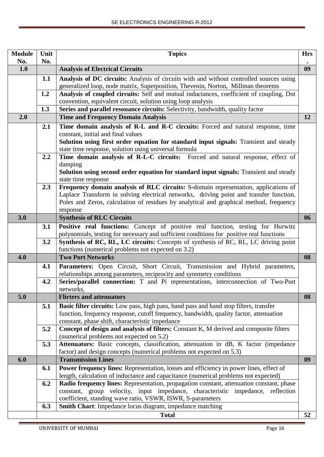| <b>Module</b> | Unit | <b>Topics</b>                                                                                                                                                                          | <b>Hrs</b> |
|---------------|------|----------------------------------------------------------------------------------------------------------------------------------------------------------------------------------------|------------|
| No.           | No.  |                                                                                                                                                                                        |            |
| 1.0           |      | <b>Analysis of Electrical Circuits</b>                                                                                                                                                 | 09         |
|               | 1.1  | Analysis of DC circuits: Analysis of circuits with and without controlled sources using                                                                                                |            |
|               |      | generalized loop, node matrix, Superposition, Thevenin, Norton, Millman theorems                                                                                                       |            |
|               | 1.2  | Analysis of coupled circuits: Self and mutual inductances, coefficient of coupling, Dot                                                                                                |            |
|               |      | convention, equivalent circuit, solution using loop analysis                                                                                                                           |            |
|               | 1.3  | Series and parallel resonance circuits: Selectivity, bandwidth, quality factor                                                                                                         |            |
| 2.0           |      | <b>Time and Frequency Domain Analysis</b>                                                                                                                                              | 12         |
|               | 2.1  | Time domain analysis of R-L and R-C circuits: Forced and natural response, time                                                                                                        |            |
|               |      | constant, initial and final values                                                                                                                                                     |            |
|               |      | Solution using first order equation for standard input signals: Transient and steady                                                                                                   |            |
|               |      | state time response, solution using universal formula                                                                                                                                  |            |
|               | 2.2  | Time domain analysis of R-L-C circuits: Forced and natural response, effect of                                                                                                         |            |
|               |      | damping<br>Solution using second order equation for standard input signals: Transient and steady                                                                                       |            |
|               |      | state time response                                                                                                                                                                    |            |
|               | 2.3  | Frequency domain analysis of RLC circuits: S-domain representation, applications of                                                                                                    |            |
|               |      | Laplace Transform in solving electrical networks, driving point and transfer function,                                                                                                 |            |
|               |      | Poles and Zeros, calculation of residues by analytical and graphical method, frequency                                                                                                 |            |
|               |      | response                                                                                                                                                                               |            |
| 3.0           |      | <b>Synthesis of RLC Circuits</b>                                                                                                                                                       | 06         |
|               | 3.1  | Positive real functions: Concept of positive real function, testing for Hurwitz                                                                                                        |            |
|               |      | polynomials, testing for necessary and sufficient conditions for positive real functions                                                                                               |            |
|               | 3.2  | Synthesis of RC, RL, LC circuits: Concepts of synthesis of RC, RL, LC driving point                                                                                                    |            |
|               |      | functions (numerical problems not expected on 3.2)                                                                                                                                     |            |
| 4.0           |      | <b>Two Port Networks</b>                                                                                                                                                               | 08         |
|               | 4.1  | Parameters: Open Circuit, Short Circuit, Transmission and Hybrid parameters,                                                                                                           |            |
|               |      | relationships among parameters, reciprocity and symmetry conditions                                                                                                                    |            |
|               | 4.2  | Series/parallel connection: T and Pi representations, interconnection of Two-Port                                                                                                      |            |
| 5.0           |      | networks,<br><b>Flirters and attenuators</b>                                                                                                                                           | 08         |
|               |      |                                                                                                                                                                                        |            |
|               | 5.1  | <b>Basic filter circuits:</b> Low pass, high pass, band pass and band stop filters, transfer<br>function, frequency response, cutoff frequency, bandwidth, quality factor, attenuation |            |
|               |      | constant, phase shift, characteristic impedance                                                                                                                                        |            |
|               | 5.2  | Concept of design and analysis of filters: Constant K, M derived and composite filters                                                                                                 |            |
|               |      | (numerical problems not expected on 5.2)                                                                                                                                               |            |
|               | 5.3  | Attenuators: Basic concepts, classification, attenuation in dB, K factor (impedance                                                                                                    |            |
|               |      | factor) and design concepts (numerical problems not expected on 5.3)                                                                                                                   |            |
| 6.0           |      | <b>Transmission Lines</b>                                                                                                                                                              | 09         |
|               | 6.1  | <b>Power frequency lines:</b> Representation, losses and efficiency in power lines, effect of                                                                                          |            |
|               |      | length, calculation of inductance and capacitance (numerical problems not expected)                                                                                                    |            |
|               | 6.2  | Radio frequency lines: Representation, propagation constant, attenuation constant, phase                                                                                               |            |
|               |      | constant, group velocity, input impedance, characteristic impedance, reflection                                                                                                        |            |
|               |      | coefficient, standing wave ratio, VSWR, ISWR, S-parameters                                                                                                                             |            |
|               | 6.3  | Smith Chart: Impedance locus diagram, impedance matching                                                                                                                               |            |
|               |      | <b>Total</b>                                                                                                                                                                           | 52         |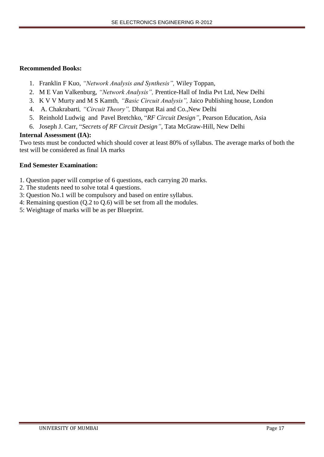## **Recommended Books:**

- 1. Franklin F Kuo, *"Network Analysis and Synthesis",* Wiley Toppan,
- 2. M E Van Valkenburg, *"Network Analysis",* Prentice-Hall of India Pvt Ltd, New Delhi
- 3. K V V Murty and M S Kamth*, "Basic Circuit Analysis",* Jaico Publishing house, London
- 4. A. Chakrabarti*, "Circuit Theory",* Dhanpat Rai and Co.,New Delhi
- 5. Reinhold Ludwig and Pavel Bretchko, "*RF Circuit Design"*, Pearson Education, Asia
- 6. Joseph J. Carr, "*Secrets of RF Circuit Design"*, Tata McGraw-Hill, New Delhi

## **Internal Assessment (IA):**

Two tests must be conducted which should cover at least 80% of syllabus. The average marks of both the test will be considered as final IA marks

- 1. Question paper will comprise of 6 questions, each carrying 20 marks.
- 2. The students need to solve total 4 questions.
- 3: Question No.1 will be compulsory and based on entire syllabus.
- 4: Remaining question (Q.2 to Q.6) will be set from all the modules.
- 5: Weightage of marks will be as per Blueprint.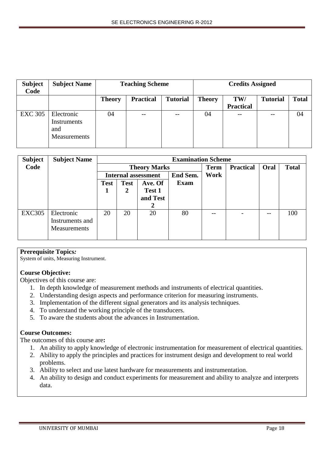| <b>Subject</b><br>Code | <b>Subject Name</b>                              |               | <b>Teaching Scheme</b> |                 | <b>Credits Assigned</b> |                  |                 |              |  |
|------------------------|--------------------------------------------------|---------------|------------------------|-----------------|-------------------------|------------------|-----------------|--------------|--|
|                        |                                                  | <b>Theory</b> | <b>Practical</b>       | <b>Tutorial</b> | <b>Theory</b>           | TW/              | <b>Tutorial</b> | <b>Total</b> |  |
|                        |                                                  |               |                        |                 |                         | <b>Practical</b> |                 |              |  |
| <b>EXC 305</b>         | Electronic<br>Instruments<br>and<br>Measurements | 04            | --                     | $- -$           | 04                      | $--$             |                 | 04           |  |

| <b>Subject</b> | <b>Subject Name</b> |             |             |                            | <b>Examination Scheme</b> |             |                  |       |              |
|----------------|---------------------|-------------|-------------|----------------------------|---------------------------|-------------|------------------|-------|--------------|
| Code           |                     |             |             | <b>Theory Marks</b>        |                           | <b>Term</b> | <b>Practical</b> | Oral  | <b>Total</b> |
|                |                     |             |             | <b>Internal assessment</b> | End Sem.                  | Work        |                  |       |              |
|                |                     | <b>Test</b> | <b>Test</b> | Ave. Of                    | Exam                      |             |                  |       |              |
|                |                     |             | 2           | Test 1                     |                           |             |                  |       |              |
|                |                     |             |             | and Test                   |                           |             |                  |       |              |
|                |                     |             |             | 2                          |                           |             |                  |       |              |
| <b>EXC305</b>  | Electronic          | 20          | 20          | 20                         | 80                        | $- -$       |                  | $- -$ | 100          |
|                | Instruments and     |             |             |                            |                           |             |                  |       |              |
|                | <b>Measurements</b> |             |             |                            |                           |             |                  |       |              |
|                |                     |             |             |                            |                           |             |                  |       |              |

### **Prerequisite Topics***:*

System of units, Measuring Instrument.

## **Course Objective:**

Objectives of this course are:

- 1. In depth knowledge of measurement methods and instruments of electrical quantities.
- 2. Understanding design aspects and performance criterion for measuring instruments.
- 3. Implementation of the different signal generators and its analysis techniques.
- 4. To understand the working principle of the transducers.
- 5. To aware the students about the advances in Instrumentation.

## **Course Outcomes:**

The outcomes of this course are**:**

- 1. An ability to apply knowledge of electronic instrumentation for measurement of electrical quantities.
- 2. Ability to apply the principles and practices for instrument design and development to real world problems.
- 3. Ability to select and use latest hardware for measurements and instrumentation.
- 4. An ability to design and conduct experiments for measurement and ability to analyze and interprets data.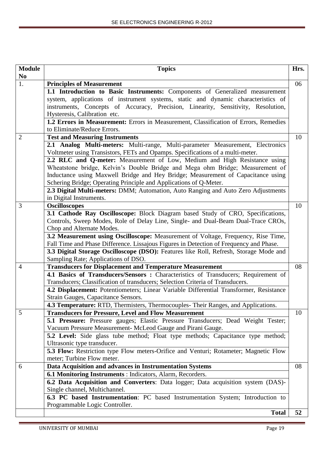| <b>Module</b>  | <b>Topics</b>                                                                                                                                        | Hrs. |
|----------------|------------------------------------------------------------------------------------------------------------------------------------------------------|------|
| N <sub>0</sub> |                                                                                                                                                      |      |
| 1.             | <b>Principles of Measurement</b>                                                                                                                     | 06   |
|                | 1.1 Introduction to Basic Instruments: Components of Generalized measurement                                                                         |      |
|                | system, applications of instrument systems, static and dynamic characteristics of                                                                    |      |
|                | instruments, Concepts of Accuracy, Precision, Linearity, Sensitivity, Resolution,                                                                    |      |
|                | Hysteresis, Calibration etc.                                                                                                                         |      |
|                | 1.2 Errors in Measurement: Errors in Measurement, Classification of Errors, Remedies                                                                 |      |
|                | to Eliminate/Reduce Errors.                                                                                                                          |      |
| $\overline{2}$ | <b>Test and Measuring Instruments</b>                                                                                                                | 10   |
|                | 2.1 Analog Multi-meters: Multi-range, Multi-parameter Measurement, Electronics                                                                       |      |
|                | Voltmeter using Transistors, FETs and Opamps. Specifications of a multi-meter.                                                                       |      |
|                | 2.2 RLC and Q-meter: Measurement of Low, Medium and High Resistance using                                                                            |      |
|                | Wheatstone bridge, Kelvin's Double Bridge and Mega ohm Bridge; Measurement of                                                                        |      |
|                | Inductance using Maxwell Bridge and Hey Bridge; Measurement of Capacitance using                                                                     |      |
|                | Schering Bridge; Operating Principle and Applications of Q-Meter.                                                                                    |      |
|                | 2.3 Digital Multi-meters: DMM; Automation, Auto Ranging and Auto Zero Adjustments                                                                    |      |
|                | in Digital Instruments.                                                                                                                              |      |
| 3              | <b>Oscilloscopes</b>                                                                                                                                 | 10   |
|                | 3.1 Cathode Ray Oscilloscope: Block Diagram based Study of CRO, Specifications,                                                                      |      |
|                | Controls, Sweep Modes, Role of Delay Line, Single- and Dual-Beam Dual-Trace CROs,                                                                    |      |
|                | Chop and Alternate Modes.                                                                                                                            |      |
|                | 3.2 Measurement using Oscilloscope: Measurement of Voltage, Frequency, Rise Time,                                                                    |      |
|                | Fall Time and Phase Difference. Lissajous Figures in Detection of Frequency and Phase.                                                               |      |
|                | 3.3 Digital Storage Oscilloscope (DSO): Features like Roll, Refresh, Storage Mode and<br>Sampling Rate; Applications of DSO.                         |      |
| $\overline{4}$ |                                                                                                                                                      | 08   |
|                | <b>Transducers for Displacement and Temperature Measurement</b><br>4.1 Basics of Transducers/Sensors: Characteristics of Transducers; Requirement of |      |
|                | Transducers; Classification of transducers; Selection Criteria of Transducers.                                                                       |      |
|                | 4.2 Displacement: Potentiometers; Linear Variable Differential Transformer, Resistance                                                               |      |
|                | Strain Gauges, Capacitance Sensors.                                                                                                                  |      |
|                | 4.3 Temperature: RTD, Thermisters, Thermocouples- Their Ranges, and Applications.                                                                    |      |
| 5              | <b>Transducers for Pressure, Level and Flow Measurement</b>                                                                                          | 10   |
|                | 5.1 Pressure: Pressure gauges; Elastic Pressure Transducers; Dead Weight Tester;                                                                     |      |
|                | Vacuum Pressure Measurement- McLeod Gauge and Pirani Gauge.                                                                                          |      |
|                | 5.2 Level: Side glass tube method; Float type methods; Capacitance type method;                                                                      |      |
|                | Ultrasonic type transducer.                                                                                                                          |      |
|                | 5.3 Flow: Restriction type Flow meters-Orifice and Venturi; Rotameter; Magnetic Flow                                                                 |      |
|                | meter; Turbine Flow meter.                                                                                                                           |      |
| 6              | Data Acquisition and advances in Instrumentation Systems                                                                                             | 08   |
|                | 6.1 Monitoring Instruments : Indicators, Alarm, Recorders.                                                                                           |      |
|                | 6.2 Data Acquisition and Converters: Data logger; Data acquisition system (DAS)-                                                                     |      |
|                | Single channel, Multichannel.                                                                                                                        |      |
|                | 6.3 PC based Instrumentation: PC based Instrumentation System; Introduction to                                                                       |      |
|                | Programmable Logic Controller.                                                                                                                       |      |
|                | <b>Total</b>                                                                                                                                         | 52   |
|                |                                                                                                                                                      |      |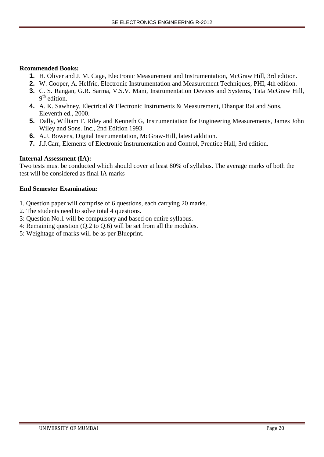### **Rcommended Books:**

- **1.** H. Oliver and J. M. Cage, Electronic Measurement and Instrumentation, McGraw Hill, 3rd edition.
- **2.** W. Cooper, A. Helfric, Electronic Instrumentation and Measurement Techniques, PHI, 4th edition.
- **3.** C. S. Rangan, G.R. Sarma, V.S.V. Mani, Instrumentation Devices and Systems, Tata McGraw Hill, 9<sup>th</sup> edition.
- **4.** A. K. Sawhney, Electrical & Electronic Instruments & Measurement, Dhanpat Rai and Sons, Eleventh ed., 2000.
- **5.** Dally, William F. Riley and Kenneth G, Instrumentation for Engineering Measurements, James John Wiley and Sons. Inc., 2nd Edition 1993.
- **6.** A.J. Bowens, Digital Instrumentation, McGraw-Hill, latest addition.
- **7.** J.J.Carr, Elements of Electronic Instrumentation and Control, Prentice Hall, 3rd edition.

## **Internal Assessment (IA):**

Two tests must be conducted which should cover at least 80% of syllabus. The average marks of both the test will be considered as final IA marks

- 1. Question paper will comprise of 6 questions, each carrying 20 marks.
- 2. The students need to solve total 4 questions.
- 3: Question No.1 will be compulsory and based on entire syllabus.
- 4: Remaining question (Q.2 to Q.6) will be set from all the modules.
- 5: Weightage of marks will be as per Blueprint.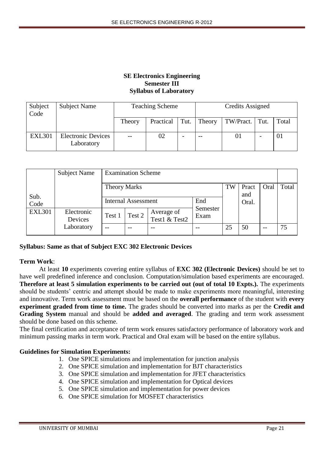## **SE Electronics Engineering Semester III Syllabus of Laboratory**

| Subject<br>Code | Subject Name                            |        | <b>Teaching Scheme</b> |        |                  | Credits Assigned         |       |  |
|-----------------|-----------------------------------------|--------|------------------------|--------|------------------|--------------------------|-------|--|
|                 |                                         | Theory | Practical              | Theory | TW/Pract.   Tut. |                          | Total |  |
| <b>EXL301</b>   | <b>Electronic Devices</b><br>Laboratory | $- -$  | 02                     | $- -$  | 01               | $\overline{\phantom{a}}$ | 01    |  |

|               | Subject Name          |                     | <b>Examination Scheme</b>  |                             |                  |       |              |      |       |
|---------------|-----------------------|---------------------|----------------------------|-----------------------------|------------------|-------|--------------|------|-------|
| Sub.          |                       | <b>Theory Marks</b> |                            |                             |                  | TW    | Pract<br>and | Oral | Total |
| Code          |                       |                     | <b>Internal Assessment</b> |                             |                  | Oral. |              |      |       |
| <b>EXL301</b> | Electronic<br>Devices | Test 1              | Test 2                     | Average of<br>Test1 & Test2 | Semester<br>Exam |       |              |      |       |
|               | Laboratory            | $\qquad \qquad -$   | $- -$                      |                             |                  | 25    | 50           | $ -$ | 75    |

### **Syllabus: Same as that of Subject EXC 302 Electronic Devices**

### **Term Work**:

At least **10** experiments covering entire syllabus of **EXC 302 (Electronic Devices)** should be set to have well predefined inference and conclusion. Computation/simulation based experiments are encouraged. **Therefore at least 5 simulation experiments to be carried out (out of total 10 Expts.).** The experiments should be students' centric and attempt should be made to make experiments more meaningful, interesting and innovative. Term work assessment must be based on the **overall performance** of the student with **every experiment graded from time to time.** The grades should be converted into marks as per the **Credit and Grading System** manual and should be **added and averaged**. The grading and term work assessment should be done based on this scheme.

The final certification and acceptance of term work ensures satisfactory performance of laboratory work and minimum passing marks in term work. Practical and Oral exam will be based on the entire syllabus.

### **Guidelines for Simulation Experiments:**

- 1. One SPICE simulations and implementation for junction analysis
- 2. One SPICE simulation and implementation for BJT characteristics
- 3. One SPICE simulation and implementation for JFET characteristics
- 4. One SPICE simulation and implementation for Optical devices
- 5. One SPICE simulation and implementation for power devices
- 6. One SPICE simulation for MOSFET characteristics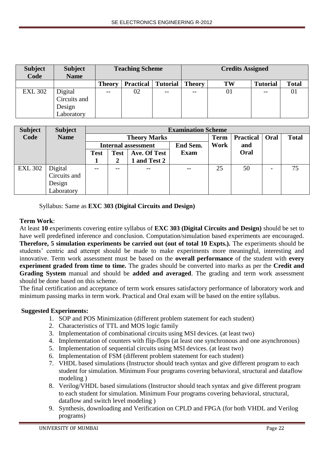| <b>Subject</b><br>Code | <b>Subject</b><br><b>Name</b> |               | <b>Teaching Scheme</b> |                 |               | <b>Credits Assigned</b> |                 |              |  |
|------------------------|-------------------------------|---------------|------------------------|-----------------|---------------|-------------------------|-----------------|--------------|--|
|                        |                               | <b>Theory</b> | <b>Practical</b>       | <b>Tutorial</b> | <b>Theory</b> | TW                      | <b>Tutorial</b> | <b>Total</b> |  |
| <b>EXL 302</b>         | Digital                       | $- -$         | 02                     | $- -$           | $- -$         | 01                      | $- -$           |              |  |
|                        | Circuits and                  |               |                        |                 |               |                         |                 |              |  |
|                        |                               |               |                        |                 |               |                         |                 |              |  |
|                        | Design<br>Laboratory          |               |                        |                 |               |                         |                 |              |  |

| <b>Subject</b> | <b>Subject</b> |             |             |                            | <b>Examination Scheme</b> |             |                  |      |              |  |
|----------------|----------------|-------------|-------------|----------------------------|---------------------------|-------------|------------------|------|--------------|--|
| Code           | <b>Name</b>    |             |             | <b>Theory Marks</b>        |                           | <b>Term</b> | <b>Practical</b> | Oral | <b>Total</b> |  |
|                |                |             |             | <b>Internal assessment</b> | <b>End Sem.</b>           | Work        | and              |      |              |  |
|                |                | <b>Test</b> | <b>Test</b> | Ave. Of Test               | <b>Exam</b>               |             | Oral             |      |              |  |
|                |                |             |             | and Test 2                 |                           |             |                  |      |              |  |
| <b>EXL 302</b> | Digital        | $- -$       | --          |                            | --                        | 25          | 50               |      | 75           |  |
|                | Circuits and   |             |             |                            |                           |             |                  |      |              |  |
|                | Design         |             |             |                            |                           |             |                  |      |              |  |
|                | Laboratory     |             |             |                            |                           |             |                  |      |              |  |

Syllabus: Same as **EXC 303 (Digital Circuits and Design)**

# **Term Work**:

At least **10** experiments covering entire syllabus of **EXC 303 (Digital Circuits and Design)** should be set to have well predefined inference and conclusion. Computation/simulation based experiments are encouraged. **Therefore, 5 simulation experiments be carried out (out of total 10 Expts.).** The experiments should be students' centric and attempt should be made to make experiments more meaningful, interesting and innovative. Term work assessment must be based on the **overall performance** of the student with **every experiment graded from time to time.** The grades should be converted into marks as per the **Credit and Grading System** manual and should be **added and averaged**. The grading and term work assessment should be done based on this scheme.

The final certification and acceptance of term work ensures satisfactory performance of laboratory work and minimum passing marks in term work. Practical and Oral exam will be based on the entire syllabus.

# **Suggested Experiments:**

- 1. SOP and POS Minimization (different problem statement for each student)
- 2. Characteristics of TTL and MOS logic family
- 3. Implementation of combinational circuits using MSI devices. (at least two)
- 4. Implementation of counters with flip-flops (at least one synchronous and one asynchronous)
- 5. Implementation of sequential circuits using MSI devices. (at least two)
- 6. Implementation of FSM (different problem statement for each student)
- 7. VHDL based simulations (Instructor should teach syntax and give different program to each student for simulation. Minimum Four programs covering behavioral, structural and dataflow modeling )
- 8. Verilog/VHDL based simulations (Instructor should teach syntax and give different program to each student for simulation. Minimum Four programs covering behavioral, structural, dataflow and switch level modeling )
- 9. Synthesis, downloading and Verification on CPLD and FPGA (for both VHDL and Verilog programs)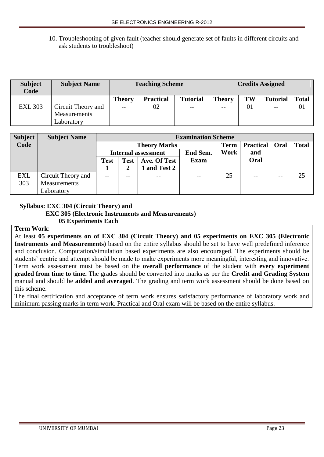## 10. Troubleshooting of given fault (teacher should generate set of faults in different circuits and ask students to troubleshoot)

| <b>Subject</b><br>Code | <b>Subject Name</b>                                     |               | <b>Teaching Scheme</b> |               | <b>Credits Assigned</b>  |                 |                   |    |
|------------------------|---------------------------------------------------------|---------------|------------------------|---------------|--------------------------|-----------------|-------------------|----|
|                        |                                                         | <b>Theory</b> | <b>Practical</b>       | <b>Theory</b> | TW                       | <b>Tutorial</b> | <b>Total</b>      |    |
| <b>EXL 303</b>         | Circuit Theory and<br><b>Measurements</b><br>∟aboratory | $- -$         | 02                     | $- -$         | $\overline{\phantom{m}}$ | 01              | $\qquad \qquad -$ | 01 |

| <b>Subject</b> | <b>Subject Name</b> |      | <b>Examination Scheme</b> |                            |             |             |                  |       |              |  |
|----------------|---------------------|------|---------------------------|----------------------------|-------------|-------------|------------------|-------|--------------|--|
| Code           |                     |      |                           | <b>Theory Marks</b>        |             | <b>Term</b> | <b>Practical</b> | Oral  | <b>Total</b> |  |
|                |                     |      |                           | <b>Internal assessment</b> | End Sem.    | Work        | and              |       |              |  |
|                |                     | Test | <b>Test</b>               | Ave. Of Test               | <b>Exam</b> |             | Oral             |       |              |  |
|                |                     |      |                           | 1 and Test 2               |             |             |                  |       |              |  |
| EXL            | Circuit Theory and  |      | $- -$                     | $- -$                      | $- -$       | 25          | $- -$            | $- -$ | 25           |  |
| 303            | Measurements        |      |                           |                            |             |             |                  |       |              |  |
|                | Laboratory          |      |                           |                            |             |             |                  |       |              |  |

### **Syllabus: EXC 304 (Circuit Theory) and**

### **EXC 305 (Electronic Instruments and Measurements)**

### **05 Experiments Each**

## **Term Work**:

At least **05 experiments on of EXC 304 (Circuit Theory) and 05 experiments on EXC 305 (Electronic Instruments and Measurements)** based on the entire syllabus should be set to have well predefined inference and conclusion. Computation/simulation based experiments are also encouraged. The experiments should be students' centric and attempt should be made to make experiments more meaningful, interesting and innovative. Term work assessment must be based on the **overall performance** of the student with **every experiment graded from time to time.** The grades should be converted into marks as per the **Credit and Grading System** manual and should be **added and averaged**. The grading and term work assessment should be done based on this scheme.

The final certification and acceptance of term work ensures satisfactory performance of laboratory work and minimum passing marks in term work. Practical and Oral exam will be based on the entire syllabus.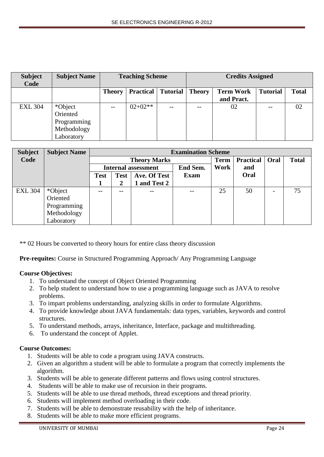| <b>Subject</b><br>Code | <b>Subject Name</b> | <b>Teaching Scheme</b>                        |           |               | <b>Credits Assigned</b> |                 |              |    |  |
|------------------------|---------------------|-----------------------------------------------|-----------|---------------|-------------------------|-----------------|--------------|----|--|
|                        |                     | Tutorial<br><b>Practical</b><br><b>Theory</b> |           | <b>Theory</b> | <b>Term Work</b>        | <b>Tutorial</b> | <b>Total</b> |    |  |
|                        |                     |                                               |           |               |                         | and Pract.      |              |    |  |
| <b>EXL 304</b>         | *Object             | $- -$                                         | $02+02**$ |               | $-$                     | 02              | --           | 02 |  |
|                        | Oriented            |                                               |           |               |                         |                 |              |    |  |
|                        | Programming         |                                               |           |               |                         |                 |              |    |  |
|                        | Methodology         |                                               |           |               |                         |                 |              |    |  |
|                        | Laboratory          |                                               |           |               |                         |                 |              |    |  |

| <b>Subject</b> | <b>Subject Name</b> |                            | <b>Examination Scheme</b> |                     |             |             |                  |                          |              |  |  |
|----------------|---------------------|----------------------------|---------------------------|---------------------|-------------|-------------|------------------|--------------------------|--------------|--|--|
| Code           |                     |                            |                           | <b>Theory Marks</b> |             | <b>Term</b> | <b>Practical</b> | Oral                     | <b>Total</b> |  |  |
|                |                     | <b>Internal assessment</b> |                           |                     | End Sem.    | Work        | and              |                          |              |  |  |
|                |                     | <b>Test</b>                | <b>Test</b>               | Ave. Of Test        | <b>Exam</b> |             | Oral             |                          |              |  |  |
|                |                     |                            | 2                         | 1 and Test 2        |             |             |                  |                          |              |  |  |
| <b>EXL 304</b> | *Object             |                            | --                        |                     |             | 25          | 50               | $\overline{\phantom{0}}$ | 75           |  |  |
|                | Oriented            |                            |                           |                     |             |             |                  |                          |              |  |  |
|                | Programming         |                            |                           |                     |             |             |                  |                          |              |  |  |
|                | Methodology         |                            |                           |                     |             |             |                  |                          |              |  |  |
|                | Laboratory          |                            |                           |                     |             |             |                  |                          |              |  |  |

\*\* 02 Hours be converted to theory hours for entire class theory discussion

**Pre-requites:** Course in Structured Programming Approach/ Any Programming Language

### **Course Objectives:**

- 1. To understand the concept of Object Oriented Programming
- 2. To help student to understand how to use a programming language such as JAVA to resolve problems.
- 3. To impart problems understanding, analyzing skills in order to formulate Algorithms.
- 4. To provide knowledge about JAVA fundamentals: data types, variables, keywords and control structures.
- 5. To understand methods, arrays, inheritance, Interface, package and multithreading.
- 6. To understand the concept of Applet.

### **Course Outcomes:**

- 1. Students will be able to code a program using JAVA constructs.
- 2. Given an algorithm a student will be able to formulate a program that correctly implements the algorithm.
- 3. Students will be able to generate different patterns and flows using control structures.
- 4. Students will be able to make use of recursion in their programs.
- 5. Students will be able to use thread methods, thread exceptions and thread priority.
- 6. Students will implement method overloading in their code.
- 7. Students will be able to demonstrate reusability with the help of inheritance.
- 8. Students will be able to make more efficient programs.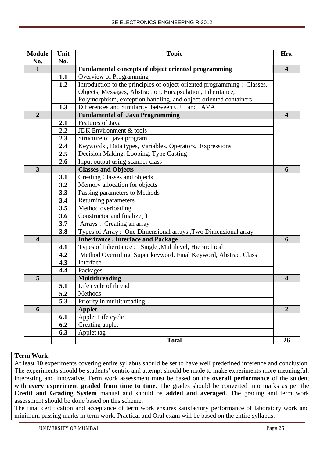| <b>Module</b>           | Unit | <b>Topic</b>                                                             | Hrs.                    |
|-------------------------|------|--------------------------------------------------------------------------|-------------------------|
| No.                     | No.  |                                                                          |                         |
| $\mathbf{1}$            |      | Fundamental concepts of object oriented programming                      | $\overline{\mathbf{4}}$ |
|                         | 1.1  | Overview of Programming                                                  |                         |
|                         | 1.2  | Introduction to the principles of object-oriented programming : Classes, |                         |
|                         |      | Objects, Messages, Abstraction, Encapsulation, Inheritance,              |                         |
|                         |      | Polymorphism, exception handling, and object-oriented containers         |                         |
|                         | 1.3  | Differences and Similarity between C++ and JAVA                          |                         |
| $\overline{2}$          |      | <b>Fundamental of Java Programming</b>                                   | $\boldsymbol{4}$        |
|                         | 2.1  | Features of Java<br><b>JDK</b> Environment & tools                       |                         |
|                         | 2.2  |                                                                          |                         |
|                         | 2.3  | Structure of java program                                                |                         |
|                         | 2.4  | Keywords, Data types, Variables, Operators, Expressions                  |                         |
|                         | 2.5  | Decision Making, Looping, Type Casting                                   |                         |
|                         | 2.6  | Input output using scanner class                                         |                         |
| $\overline{\mathbf{3}}$ |      | <b>Classes and Objects</b>                                               | 6                       |
|                         | 3.1  | Creating Classes and objects                                             |                         |
|                         | 3.2  | Memory allocation for objects                                            |                         |
|                         | 3.3  | Passing parameters to Methods                                            |                         |
|                         | 3.4  | Returning parameters                                                     |                         |
|                         | 3.5  | Method overloading                                                       |                         |
|                         | 3.6  | Constructor and finalize()                                               |                         |
|                         | 3.7  | Arrays: Creating an array                                                |                         |
|                         | 3.8  | Types of Array: One Dimensional arrays , Two Dimensional array           |                         |
| $\overline{\mathbf{4}}$ |      | <b>Inheritance, Interface and Package</b>                                | 6                       |
|                         | 4.1  | Types of Inheritance : Single , Multilevel, Hierarchical                 |                         |
|                         | 4.2  | Method Overriding, Super keyword, Final Keyword, Abstract Class          |                         |
|                         | 4.3  | Interface                                                                |                         |
|                         | 4.4  | Packages                                                                 |                         |
| 5                       |      | <b>Multithreading</b>                                                    | 4                       |
|                         | 5.1  | Life cycle of thread                                                     |                         |
|                         | 5.2  | Methods                                                                  |                         |
|                         | 5.3  | Priority in multithreading                                               |                         |
| 6                       |      | <b>Applet</b>                                                            | $\overline{2}$          |
|                         | 6.1  | Applet Life cycle                                                        |                         |
|                         | 6.2  | Creating applet                                                          |                         |
|                         | 6.3  | Applet tag                                                               |                         |
|                         |      | <b>Total</b>                                                             | 26                      |

## **Term Work**:

At least **10** experiments covering entire syllabus should be set to have well predefined inference and conclusion. The experiments should be students' centric and attempt should be made to make experiments more meaningful, interesting and innovative. Term work assessment must be based on the **overall performance** of the student with **every experiment graded from time to time.** The grades should be converted into marks as per the **Credit and Grading System** manual and should be **added and averaged**. The grading and term work assessment should be done based on this scheme.

The final certification and acceptance of term work ensures satisfactory performance of laboratory work and minimum passing marks in term work. Practical and Oral exam will be based on the entire syllabus.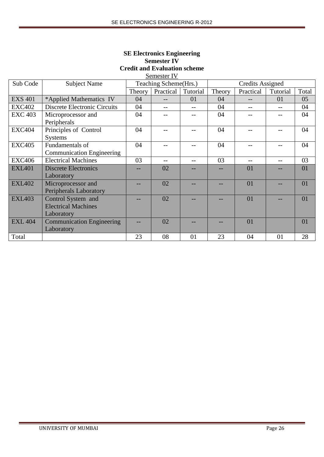| <b>SE Electronics Engineering</b>   |
|-------------------------------------|
| <b>Semester IV</b>                  |
| <b>Credit and Evaluation scheme</b> |
| Semester IV                         |

| Sub Code       | <b>Subject Name</b>              |        | Teaching Scheme(Hrs.) |          |        | <b>Credits Assigned</b> |          |       |
|----------------|----------------------------------|--------|-----------------------|----------|--------|-------------------------|----------|-------|
|                |                                  | Theory | Practical             | Tutorial | Theory | Practical               | Tutorial | Total |
| <b>EXS 401</b> | *Applied Mathematics IV          | 04     |                       | 01       | 04     | $-$                     | 01       | 05    |
| <b>EXC402</b>  | Discrete Electronic Circuits     | 04     |                       |          | 04     |                         |          | 04    |
| <b>EXC 403</b> | Microprocessor and               | 04     |                       |          | 04     |                         |          | 04    |
|                | Peripherals                      |        |                       |          |        |                         |          |       |
| <b>EXC404</b>  | Principles of Control            | 04     |                       |          | 04     |                         |          | 04    |
|                | <b>Systems</b>                   |        |                       |          |        |                         |          |       |
| <b>EXC405</b>  | Fundamentals of                  | 04     |                       |          | 04     |                         |          | 04    |
|                | <b>Communication Engineering</b> |        |                       |          |        |                         |          |       |
| <b>EXC406</b>  | <b>Electrical Machines</b>       | 03     |                       |          | 03     |                         |          | 03    |
| <b>EXL401</b>  | <b>Discrete Electronics</b>      |        | 02                    |          |        | 01                      |          | 01    |
|                | Laboratory                       |        |                       |          |        |                         |          |       |
| <b>EXL402</b>  | Microprocessor and               |        | 02                    |          |        | 01                      |          | 01    |
|                | Peripherals Laboratory           |        |                       |          |        |                         |          |       |
| <b>EXL403</b>  | Control System and               |        | 02                    |          |        | 01                      |          | 01    |
|                | <b>Electrical Machines</b>       |        |                       |          |        |                         |          |       |
|                | Laboratory                       |        |                       |          |        |                         |          |       |
| <b>EXL 404</b> | <b>Communication Engineering</b> |        | 02                    |          |        | 01                      |          | 01    |
|                | Laboratory                       |        |                       |          |        |                         |          |       |
| Total          |                                  | 23     | 08                    | 01       | 23     | 04                      | 01       | 28    |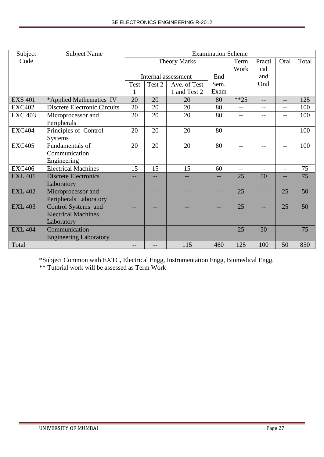| Subject        | <b>Subject Name</b>                 |             |        |                     | <b>Examination Scheme</b> |        |        |      |       |
|----------------|-------------------------------------|-------------|--------|---------------------|---------------------------|--------|--------|------|-------|
| Code           |                                     |             |        | <b>Theory Marks</b> |                           | Term   | Practi | Oral | Total |
|                |                                     |             |        |                     |                           | Work   | cal    |      |       |
|                |                                     |             |        | Internal assessment | End                       |        | and    |      |       |
|                |                                     | <b>Test</b> | Test 2 | Ave. of Test        | Sem.                      |        | Oral   |      |       |
|                |                                     | 1           |        | 1 and Test 2        | Exam                      |        |        |      |       |
| <b>EXS 401</b> | *Applied Mathematics IV             | 20          | 20     | 20                  | 80                        | $**25$ | $-$    | $-$  | 125   |
| <b>EXC402</b>  | <b>Discrete Electronic Circuits</b> | 20          | 20     | 20                  | 80                        | $-$    | --     | --   | 100   |
| <b>EXC 403</b> | Microprocessor and                  | 20          | 20     | 20                  | 80                        | $-$    |        | $-$  | 100   |
|                | Peripherals                         |             |        |                     |                           |        |        |      |       |
| <b>EXC404</b>  | Principles of Control               | 20          | 20     | 20                  | 80                        | $- -$  | --     | $-$  | 100   |
|                | <b>Systems</b>                      |             |        |                     |                           |        |        |      |       |
| <b>EXC405</b>  | Fundamentals of                     | 20          | 20     | 20                  | 80                        | $- -$  | --     | $-$  | 100   |
|                | Communication                       |             |        |                     |                           |        |        |      |       |
|                | Engineering                         |             |        |                     |                           |        |        |      |       |
| <b>EXC406</b>  | <b>Electrical Machines</b>          | 15          | 15     | 15                  | 60                        |        |        | $-$  | 75    |
| <b>EXL 401</b> | <b>Discrete Electronics</b>         |             |        |                     |                           | 25     | 50     | --   | 75    |
|                | Laboratory                          |             |        |                     |                           |        |        |      |       |
| <b>EXL 402</b> | Microprocessor and                  | --          |        |                     | --                        | 25     | $-$    | 25   | 50    |
|                | Peripherals Laboratory              |             |        |                     |                           |        |        |      |       |
| <b>EXL 403</b> | Control Systems and                 |             |        |                     |                           | 25     |        | 25   | 50    |
|                | <b>Electrical Machines</b>          |             |        |                     |                           |        |        |      |       |
|                | Laboratory                          |             |        |                     |                           |        |        |      |       |
| <b>EXL 404</b> | Communication                       |             |        |                     |                           | 25     | 50     |      | 75    |
|                | <b>Engineering Laboratory</b>       |             |        |                     |                           |        |        |      |       |
| Total          |                                     | --          |        | 115                 | 460                       | 125    | 100    | 50   | 850   |

\*Subject Common with EXTC, Electrical Engg, Instrumentation Engg, Biomedical Engg.

\*\* Tutorial work will be assessed as Term Work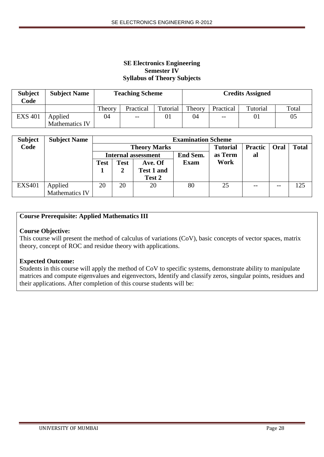## **SE Electronics Engineering Semester IV Syllabus of Theory Subjects**

| <b>Subject</b><br>Code | <b>Subject Name</b> |        | <b>Teaching Scheme</b> |          | <b>Credits Assigned</b> |           |          |       |  |
|------------------------|---------------------|--------|------------------------|----------|-------------------------|-----------|----------|-------|--|
|                        |                     | Theory | Practical              | Tutorial | Theory                  | Practical | Tutorial | Total |  |
| <b>EXS 401</b>         | Applied             | 04     | $- -$                  | 01       | 04                      | $- -$     | 01       | 05    |  |
|                        | Mathematics IV      |        |                        |          |                         |           |          |       |  |

| <b>Subject</b> | <b>Subject Name</b>   |                            | <b>Examination Scheme</b> |                   |             |         |                |      |              |  |
|----------------|-----------------------|----------------------------|---------------------------|-------------------|-------------|---------|----------------|------|--------------|--|
| Code           |                       |                            | <b>Theory Marks</b>       |                   |             |         | <b>Practic</b> | Oral | <b>Total</b> |  |
|                |                       | <b>Internal assessment</b> |                           |                   | End Sem.    | as Term | al             |      |              |  |
|                |                       | <b>Test</b>                | Test                      | Ave. Of           | <b>Exam</b> | Work    |                |      |              |  |
|                |                       |                            |                           | <b>Test 1 and</b> |             |         |                |      |              |  |
|                |                       |                            |                           | Test 2            |             |         |                |      |              |  |
| <b>EXS401</b>  | Applied               | 20                         | 20                        | 20                | 80          | 25      | $- -$          | --   | 125          |  |
|                | <b>Mathematics IV</b> |                            |                           |                   |             |         |                |      |              |  |

## **Course Prerequisite: Applied Mathematics III**

### **Course Objective:**

This course will present the method of calculus of variations (CoV), basic concepts of vector spaces, matrix theory, concept of ROC and residue theory with applications.

### **Expected Outcome:**

Students in this course will apply the method of CoV to specific systems, demonstrate ability to manipulate matrices and compute eigenvalues and eigenvectors, Identify and classify zeros, singular points, residues and their applications. After completion of this course students will be: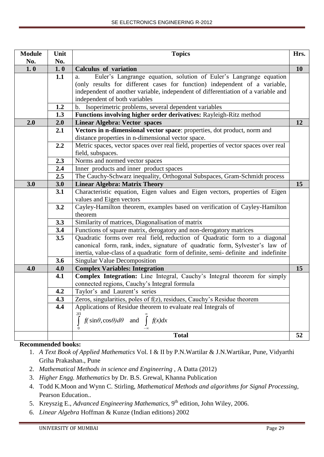| <b>Module</b> | Unit | <b>Topics</b>                                                                       | Hrs. |
|---------------|------|-------------------------------------------------------------------------------------|------|
| No.           | No.  |                                                                                     |      |
| 1.0           | 1.0  | <b>Calculus of variation</b>                                                        | 10   |
|               | 1.1  | Euler's Langrange equation, solution of Euler's Langrange equation<br>a.            |      |
|               |      | (only results for different cases for function) independent of a variable,          |      |
|               |      | independent of another variable, independent of differentiation of a variable and   |      |
|               |      | independent of both variables                                                       |      |
|               | 1.2  | b. Isoperimetric problems, several dependent variables                              |      |
|               | 1.3  | Functions involving higher order derivatives: Rayleigh-Ritz method                  |      |
| 2.0           | 2.0  | <b>Linear Algebra: Vector spaces</b>                                                | 12   |
|               | 2.1  | Vectors in n-dimensional vector space: properties, dot product, norm and            |      |
|               |      | distance properties in n-dimensional vector space.                                  |      |
|               | 2.2  | Metric spaces, vector spaces over real field, properties of vector spaces over real |      |
|               |      | field, subspaces.                                                                   |      |
|               | 2.3  | Norms and normed vector spaces                                                      |      |
|               | 2.4  | Inner products and inner product spaces                                             |      |
|               | 2.5  | The Cauchy-Schwarz inequality, Orthogonal Subspaces, Gram-Schmidt process           |      |
| 3.0           | 3.0  | <b>Linear Algebra: Matrix Theory</b>                                                | 15   |
|               | 3.1  | Characteristic equation, Eigen values and Eigen vectors, properties of Eigen        |      |
|               |      | values and Eigen vectors                                                            |      |
|               | 3.2  | Cayley-Hamilton theorem, examples based on verification of Cayley-Hamilton          |      |
|               |      | theorem                                                                             |      |
|               | 3.3  | Similarity of matrices, Diagonalisation of matrix                                   |      |
|               | 3.4  | Functions of square matrix, derogatory and non-derogatory matrices                  |      |
|               | 3.5  | Quadratic forms over real field, reduction of Quadratic form to a diagonal          |      |
|               |      | canonical form, rank, index, signature of quadratic form, Sylvester's law of        |      |
|               |      | inertia, value-class of a quadratic form of definite, semi-definite and indefinite  |      |
|               | 3.6  | <b>Singular Value Decomposition</b>                                                 |      |
| 4.0           | 4.0  | <b>Complex Variables: Integration</b>                                               | 15   |
|               | 4.1  | Complex Integration: Line Integral, Cauchy's Integral theorem for simply            |      |
|               |      | connected regions, Cauchy's Integral formula                                        |      |
|               | 4.2  | Taylor's and Laurent's series                                                       |      |
|               | 4.3  | Zeros, singularities, poles of f(z), residues, Cauchy's Residue theorem             |      |
|               | 4.4  | Applications of Residue theorem to evaluate real Integrals of                       |      |
|               |      | 2П<br>$f(\sin\theta, \cos\theta) d\theta$ and $\int$<br>f(x)dx                      |      |
|               |      | $\mathbf{0}$                                                                        |      |
|               |      | <b>Total</b>                                                                        | 52   |
|               |      |                                                                                     |      |

## **Recommended books:**

- 1. *A Text Book of Applied Mathematics* Vol. I & II by P.N.Wartilar & J.N.Wartikar, Pune, Vidyarthi Griha Prakashan., Pune
- 2. *Mathematical Methods in science and Engineering* , A Datta (2012)
- 3. *Higher Engg. Mathematics* by Dr. B.S. Grewal, Khanna Publication
- 4. Todd K.Moon and Wynn C. Stirling, *Mathematical Methods and algorithms for Signal Processing*, Pearson Education..
- 5. Kreyszig E., *Advanced Engineering Mathematics*, 9<sup>th</sup> edition, John Wiley, 2006.
- 6. *Linear Algebra* Hoffman & Kunze (Indian editions) 2002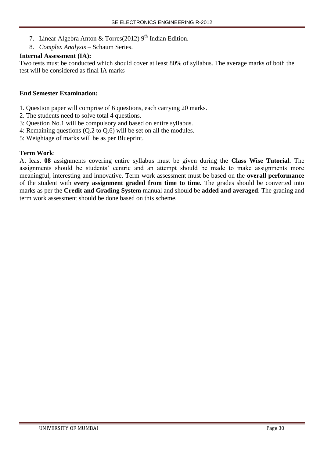- 7. Linear Algebra Anton & Torres(2012) 9<sup>th</sup> Indian Edition.
- 8. *Complex Analysis* Schaum Series.

## **Internal Assessment (IA):**

Two tests must be conducted which should cover at least 80% of syllabus. The average marks of both the test will be considered as final IA marks

## **End Semester Examination:**

- 1. Question paper will comprise of 6 questions, each carrying 20 marks.
- 2. The students need to solve total 4 questions.
- 3: Question No.1 will be compulsory and based on entire syllabus.
- 4: Remaining questions (Q.2 to Q.6) will be set on all the modules.
- 5: Weightage of marks will be as per Blueprint.

## **Term Work**:

At least **08** assignments covering entire syllabus must be given during the **Class Wise Tutorial.** The assignments should be students' centric and an attempt should be made to make assignments more meaningful, interesting and innovative. Term work assessment must be based on the **overall performance** of the student with **every assignment graded from time to time.** The grades should be converted into marks as per the **Credit and Grading System** manual and should be **added and averaged**. The grading and term work assessment should be done based on this scheme.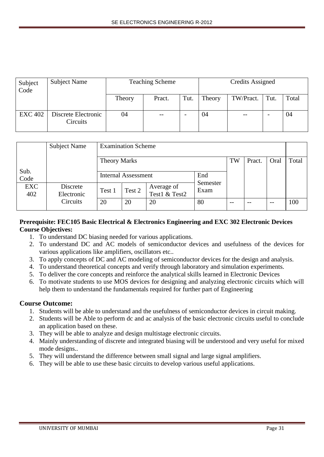| Subject<br>Code | <b>Subject Name</b>             |        | <b>Teaching Scheme</b> | Credits Assigned |        |           |      |       |
|-----------------|---------------------------------|--------|------------------------|------------------|--------|-----------|------|-------|
|                 |                                 | Theory | Pract.                 | Tut.             | Theory | TW/Pract. | Tut. | Total |
| <b>EXC 402</b>  | Discrete Electronic<br>Circuits | 04     |                        |                  | 04     | $- -$     |      | 04    |

|                   | <b>Subject Name</b>    | <b>Examination Scheme</b>  |        |                             |                 |    |       |       |     |
|-------------------|------------------------|----------------------------|--------|-----------------------------|-----------------|----|-------|-------|-----|
|                   |                        | <b>Theory Marks</b>        | Oral   | Total                       |                 |    |       |       |     |
| Sub.<br>Code      |                        | <b>Internal Assessment</b> |        |                             | End<br>Semester |    |       |       |     |
| <b>EXC</b><br>402 | Discrete<br>Electronic | Test 1                     | Test 2 | Average of<br>Test1 & Test2 | Exam            |    |       |       |     |
|                   | Circuits               | 20                         | 20     | 20                          | 80              | -- | $- -$ | $- -$ | 100 |

## **Prerequisite: FEC105 Basic Electrical & Electronics Engineering and EXC 302 Electronic Devices Course Objectives:**

- 1. To understand DC biasing needed for various applications.
- 2. To understand DC and AC models of semiconductor devices and usefulness of the devices for various applications like amplifiers, oscillators etc..
- 3. To apply concepts of DC and AC modeling of semiconductor devices for the design and analysis.
- 4. To understand theoretical concepts and verify through laboratory and simulation experiments.
- 5. To deliver the core concepts and reinforce the analytical skills learned in Electronic Devices
- 6. To motivate students to use MOS devices for designing and analyzing electronic circuits which will help them to understand the fundamentals required for further part of Engineering

# **Course Outcome:**

- 1. Students will be able to understand and the usefulness of semiconductor devices in circuit making.
- 2. Students will be Able to perform dc and ac analysis of the basic electronic circuits useful to conclude an application based on these.
- 3. They will be able to analyze and design multistage electronic circuits.
- 4. Mainly understanding of discrete and integrated biasing will be understood and very useful for mixed mode designs..
- 5. They will understand the difference between small signal and large signal amplifiers.
- 6. They will be able to use these basic circuits to develop various useful applications.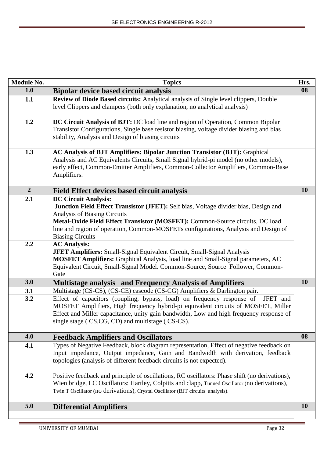| Module No.     | <b>Topics</b>                                                                                                                                                                                                                                                                                                                                          | Hrs.      |
|----------------|--------------------------------------------------------------------------------------------------------------------------------------------------------------------------------------------------------------------------------------------------------------------------------------------------------------------------------------------------------|-----------|
| 1.0            | <b>Bipolar device based circuit analysis</b>                                                                                                                                                                                                                                                                                                           | 08        |
| 1.1            | Review of Diode Based circuits: Analytical analysis of Single level clippers, Double<br>level Clippers and clampers (both only explanation, no analytical analysis)                                                                                                                                                                                    |           |
| 1.2            | DC Circuit Analysis of BJT: DC load line and region of Operation, Common Bipolar<br>Transistor Configurations, Single base resistor biasing, voltage divider biasing and bias<br>stability, Analysis and Design of biasing circuits                                                                                                                    |           |
| 1.3            | AC Analysis of BJT Amplifiers: Bipolar Junction Transistor (BJT): Graphical<br>Analysis and AC Equivalents Circuits, Small Signal hybrid-pi model (no other models),<br>early effect, Common-Emitter Amplifiers, Common-Collector Amplifiers, Common-Base<br>Amplifiers.                                                                               |           |
| $\overline{2}$ | <b>Field Effect devices based circuit analysis</b>                                                                                                                                                                                                                                                                                                     | <b>10</b> |
| 2.1            | <b>DC Circuit Analysis:</b><br>Junction Field Effect Transistor (JFET): Self bias, Voltage divider bias, Design and<br>Analysis of Biasing Circuits<br>Metal-Oxide Field Effect Transistor (MOSFET): Common-Source circuits, DC load<br>line and region of operation, Common-MOSFETs configurations, Analysis and Design of<br><b>Biasing Circuits</b> |           |
| 2.2            | <b>AC Analysis:</b><br><b>JFET Amplifiers:</b> Small-Signal Equivalent Circuit, Small-Signal Analysis<br>MOSFET Amplifiers: Graphical Analysis, load line and Small-Signal parameters, AC<br>Equivalent Circuit, Small-Signal Model. Common-Source, Source Follower, Common-<br>Gate                                                                   |           |
| 3.0            | <b>Multistage analysis and Frequency Analysis of Amplifiers</b>                                                                                                                                                                                                                                                                                        | 10        |
| 3.1            | Multistage (CS-CS), (CS-CE) cascode (CS-CG) Amplifiers & Darlington pair.                                                                                                                                                                                                                                                                              |           |
| 3.2            | Effect of capacitors (coupling, bypass, load) on frequency response of JFET and<br>MOSFET Amplifiers, High frequency hybrid-pi equivalent circuits of MOSFET, Miller<br>Effect and Miller capacitance, unity gain bandwidth, Low and high frequency response of<br>single stage (CS,CG, CD) and multistage (CS-CS).                                    |           |
| 4.0            | <b>Feedback Amplifiers and Oscillators</b>                                                                                                                                                                                                                                                                                                             | 08        |
| 4.1            | Types of Negative Feedback, block diagram representation, Effect of negative feedback on<br>Input impedance, Output impedance, Gain and Bandwidth with derivation, feedback<br>topologies (analysis of different feedback circuits is not expected).                                                                                                   |           |
| 4.2            | Positive feedback and principle of oscillations, RC oscillators: Phase shift (no derivations),<br>Wien bridge, LC Oscillators: Hartley, Colpitts and clapp, Tunned Oscillator (no derivations),<br>Twin T Oscillator (no derivations), Crystal Oscillator (BJT circuits analysis).                                                                     |           |
| 5.0            | <b>Differential Amplifiers</b>                                                                                                                                                                                                                                                                                                                         | 10        |
|                |                                                                                                                                                                                                                                                                                                                                                        |           |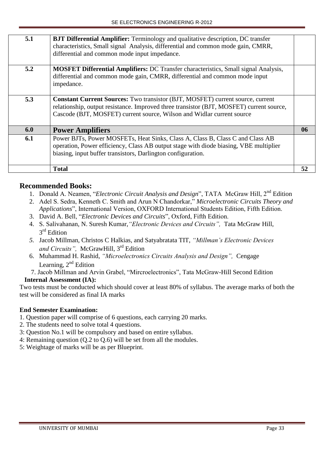| 5.1 | <b>BJT Differential Amplifier:</b> Terminology and qualitative description, DC transfer    |    |
|-----|--------------------------------------------------------------------------------------------|----|
|     | characteristics, Small signal Analysis, differential and common mode gain, CMRR,           |    |
|     | differential and common mode input impedance.                                              |    |
|     |                                                                                            |    |
| 5.2 | <b>MOSFET Differential Amplifiers:</b> DC Transfer characteristics, Small signal Analysis, |    |
|     | differential and common mode gain, CMRR, differential and common mode input                |    |
|     | impedance.                                                                                 |    |
|     |                                                                                            |    |
| 5.3 | <b>Constant Current Sources:</b> Two transistor (BJT, MOSFET) current source, current      |    |
|     | relationship, output resistance. Improved three transistor (BJT, MOSFET) current source,   |    |
|     | Cascode (BJT, MOSFET) current source, Wilson and Widlar current source                     |    |
|     |                                                                                            |    |
| 6.0 | <b>Power Amplifiers</b>                                                                    | 06 |
| 6.1 | Power BJTs, Power MOSFETs, Heat Sinks, Class A, Class B, Class C and Class AB              |    |
|     | operation, Power efficiency, Class AB output stage with diode biasing, VBE multiplier      |    |
|     | biasing, input buffer transistors, Darlington configuration.                               |    |
|     |                                                                                            |    |
|     | <b>Total</b>                                                                               | 52 |
|     |                                                                                            |    |

# **Recommended Books:**

- 1. Donald A. Neamen, "*Electronic Circuit Analysis and Design*", TATA McGraw Hill, 2nd Edition
- 2. Adel S. Sedra, Kenneth C. Smith and Arun N Chandorkar," *Microelectronic Circuits Theory and*
- *Applications*", International Version, OXFORD International Students Edition, Fifth Edition.
- 3. David A. Bell, "*Electronic Devices and Circuits*", Oxford, Fifth Edition.
- 4. S. Salivahanan*,* N. Suresh Kumar,*"Electronic Devices and Circuits",* Tata McGraw Hill, 3<sup>rd</sup> Edition
- *5.* Jacob Millman*,* Christos C Halkias, and Satyabratata TIT, *"Millman's Electronic Devices and Circuits",* McGrawHill, 3rd Edition
- 6. Muhammad H. Rashid, *"Microelectronics Circuits Analysis and Design",* Cengage Learning,  $2<sup>nd</sup>$  Edition
- 7. Jacob Millman and Arvin Grabel, "Mircroelectronics", Tata McGraw-Hill Second Edition

# **Internal Assessment (IA):**

Two tests must be conducted which should cover at least 80% of syllabus. The average marks of both the test will be considered as final IA marks

- 1. Question paper will comprise of 6 questions, each carrying 20 marks.
- 2. The students need to solve total 4 questions.
- 3: Question No.1 will be compulsory and based on entire syllabus.
- 4: Remaining question (Q.2 to Q.6) will be set from all the modules.
- 5: Weightage of marks will be as per Blueprint.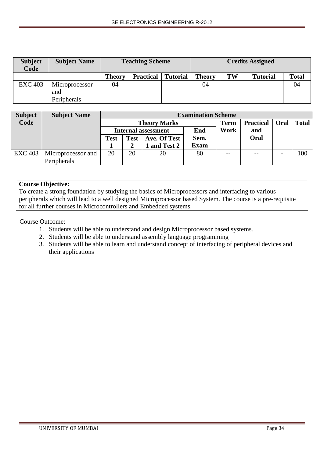| <b>Subject</b><br>Code | <b>Subject Name</b> |        | <b>Teaching Scheme</b> |                 |               | <b>Credits Assigned</b> |                 |              |  |
|------------------------|---------------------|--------|------------------------|-----------------|---------------|-------------------------|-----------------|--------------|--|
|                        |                     | Theory | <b>Practical</b>       | <b>Tutorial</b> | <b>Theory</b> | TW                      | <b>Tutorial</b> | <b>Total</b> |  |
| <b>EXC 403</b>         | Microprocessor      | 04     | $- -$                  | $- -$           | 04            | $- -$                   | $- -$           | 04           |  |
|                        | and                 |        |                        |                 |               |                         |                 |              |  |
|                        | Peripherals         |        |                        |                 |               |                         |                 |              |  |

| <b>Subject</b> | <b>Subject Name</b> |             | <b>Examination Scheme</b> |                            |      |             |                  |      |              |  |
|----------------|---------------------|-------------|---------------------------|----------------------------|------|-------------|------------------|------|--------------|--|
| Code           |                     |             |                           | <b>Theory Marks</b>        |      | <b>Term</b> | <b>Practical</b> | Oral | <b>Total</b> |  |
|                |                     |             |                           | <b>Internal assessment</b> | End  | Work        | and              |      |              |  |
|                |                     | <b>Test</b> | <b>Test</b>               | Ave. Of Test               | Sem. |             | Oral             |      |              |  |
|                |                     |             |                           | and Test 2                 | Exam |             |                  |      |              |  |
| <b>EXC 403</b> | Microprocessor and  | 20          | 20                        | 20                         | 80   | --          | $- -$            |      | 100          |  |
|                | Peripherals         |             |                           |                            |      |             |                  |      |              |  |

## **Course Objective:**

To create a strong foundation by studying the basics of Microprocessors and interfacing to various peripherals which will lead to a well designed Microprocessor based System. The course is a pre-requisite for all further courses in Microcontrollers and Embedded systems.

Course Outcome:

- 1. Students will be able to understand and design Microprocessor based systems.
- 2. Students will be able to understand assembly language programming
- 3. Students will be able to learn and understand concept of interfacing of peripheral devices and their applications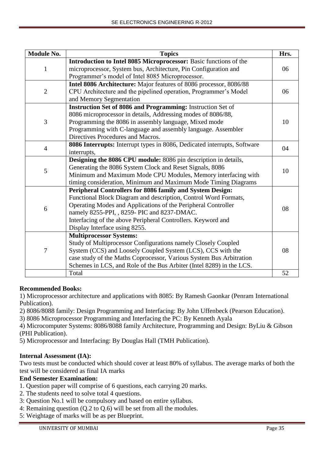| <b>Module No.</b> | <b>Topics</b>                                                            | Hrs. |
|-------------------|--------------------------------------------------------------------------|------|
|                   | Introduction to Intel 8085 Microprocessor: Basic functions of the        |      |
| $\mathbf{1}$      | microprocessor, System bus, Architecture, Pin Configuration and          | 06   |
|                   | Programmer's model of Intel 8085 Microprocessor.                         |      |
|                   | Intel 8086 Architecture: Major features of 8086 processor, 8086/88       |      |
| $\overline{2}$    | CPU Architecture and the pipelined operation, Programmer's Model         | 06   |
|                   | and Memory Segmentation                                                  |      |
|                   | Instruction Set of 8086 and Programming: Instruction Set of              |      |
|                   | 8086 microprocessor in details, Addressing modes of 8086/88,             |      |
| 3                 | Programming the 8086 in assembly language, Mixed mode                    | 10   |
|                   | Programming with C-language and assembly language. Assembler             |      |
|                   | Directives Procedures and Macros.                                        |      |
| $\overline{4}$    | 8086 Interrupts: Interrupt types in 8086, Dedicated interrupts, Software | 04   |
|                   | interrupts,                                                              |      |
|                   | Designing the 8086 CPU module: 8086 pin description in details,          |      |
| 5                 | Generating the 8086 System Clock and Reset Signals, 8086                 | 10   |
|                   | Minimum and Maximum Mode CPU Modules, Memory interfacing with            |      |
|                   | timing consideration, Minimum and Maximum Mode Timing Diagrams           |      |
|                   | Peripheral Controllers for 8086 family and System Design:                |      |
|                   | Functional Block Diagram and description, Control Word Formats,          |      |
| 6                 | Operating Modes and Applications of the Peripheral Controller            | 08   |
|                   | namely 8255-PPI, , 8259- PIC and 8237-DMAC.                              |      |
|                   | Interfacing of the above Peripheral Controllers. Keyword and             |      |
|                   | Display Interface using 8255.                                            |      |
|                   | <b>Multiprocessor Systems:</b>                                           |      |
|                   | Study of Multiprocessor Configurations namely Closely Coupled            |      |
| $\tau$            | System (CCS) and Loosely Coupled System (LCS), CCS with the              | 08   |
|                   | case study of the Maths Coprocessor, Various System Bus Arbitration      |      |
|                   | Schemes in LCS, and Role of the Bus Arbiter (Intel 8289) in the LCS.     |      |
|                   | Total                                                                    | 52   |

## **Recommended Books:**

1) Microprocessor architecture and applications with 8085: By Ramesh Gaonkar (Penram International Publication).

- 2) 8086/8088 family: Design Programming and Interfacing: By John Uffenbeck (Pearson Education).
- 3) 8086 Microprocessor Programming and Interfacing the PC: By Kenneth Ayala
- 4) Microcomputer Systems: 8086/8088 family Architecture, Programming and Design: ByLiu & Gibson (PHI Publication).
- 5) Microprocessor and Interfacing: By Douglas Hall (TMH Publication).

## **Internal Assessment (IA):**

Two tests must be conducted which should cover at least 80% of syllabus. The average marks of both the test will be considered as final IA marks

- 1. Question paper will comprise of 6 questions, each carrying 20 marks.
- 2. The students need to solve total 4 questions.
- 3: Question No.1 will be compulsory and based on entire syllabus.
- 4: Remaining question (Q.2 to Q.6) will be set from all the modules.
- 5: Weightage of marks will be as per Blueprint.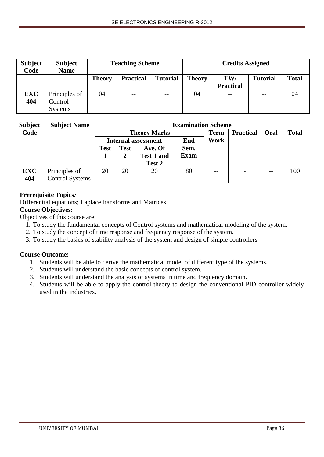| <b>Subject</b><br>Code | <b>Subject</b><br><b>Name</b> |               | <b>Teaching Scheme</b>              |       |    | <b>Credits Assigned</b> |                 |              |  |
|------------------------|-------------------------------|---------------|-------------------------------------|-------|----|-------------------------|-----------------|--------------|--|
|                        |                               | <b>Theory</b> | <b>Tutorial</b><br><b>Practical</b> |       |    | TW/                     | <b>Tutorial</b> | <b>Total</b> |  |
|                        |                               |               |                                     |       |    | <b>Practical</b>        |                 |              |  |
| <b>EXC</b>             | Principles of                 | 04            | $\overline{\phantom{m}}$            | $- -$ | 04 | $-$                     | --              | 04           |  |
| 404                    | Control                       |               |                                     |       |    |                         |                 |              |  |
|                        | <b>Systems</b>                |               |                                     |       |    |                         |                 |              |  |

| <b>Subject</b> | <b>Subject Name</b>    |             | <b>Examination Scheme</b> |                            |             |             |                  |      |              |  |  |  |
|----------------|------------------------|-------------|---------------------------|----------------------------|-------------|-------------|------------------|------|--------------|--|--|--|
| Code           |                        |             |                           | <b>Theory Marks</b>        |             | <b>Term</b> | <b>Practical</b> | Oral | <b>Total</b> |  |  |  |
|                |                        |             |                           | <b>Internal assessment</b> | End         | Work        |                  |      |              |  |  |  |
|                |                        | <b>Test</b> | <b>Test</b>               | Ave. Of                    | Sem.        |             |                  |      |              |  |  |  |
|                |                        |             |                           | <b>Test 1 and</b>          | <b>Exam</b> |             |                  |      |              |  |  |  |
|                |                        |             |                           | Test 2                     |             |             |                  |      |              |  |  |  |
| <b>EXC</b>     | Principles of          | 20          | 20                        | 20                         | 80          |             |                  |      | 100          |  |  |  |
| 404            | <b>Control Systems</b> |             |                           |                            |             |             |                  |      |              |  |  |  |

## **Prerequisite Topics***:*

Differential equations; Laplace transforms and Matrices.

## **Course Objectives:**

Objectives of this course are:

- 1. To study the fundamental concepts of Control systems and mathematical modeling of the system.
- 2. To study the concept of time response and frequency response of the system.
- 3. To study the basics of stability analysis of the system and design of simple controllers

## **Course Outcome:**

- 1. Students will be able to derive the mathematical model of different type of the systems.
- 2. Students will understand the basic concepts of control system.
- 3. Students will understand the analysis of systems in time and frequency domain.
- 4. Students will be able to apply the control theory to design the conventional PID controller widely used in the industries.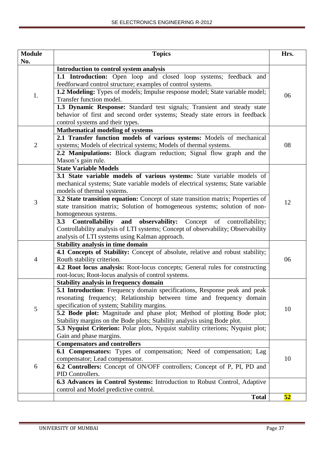| <b>Module</b>  | <b>Topics</b>                                                                                                         | Hrs. |  |  |  |  |
|----------------|-----------------------------------------------------------------------------------------------------------------------|------|--|--|--|--|
| No.            |                                                                                                                       |      |  |  |  |  |
|                | Introduction to control system analysis                                                                               |      |  |  |  |  |
|                | 1.1 Introduction: Open loop and closed loop systems; feedback and                                                     |      |  |  |  |  |
|                | feedforward control structure; examples of control systems.                                                           |      |  |  |  |  |
| 1.             | 1.2 Modeling: Types of models; Impulse response model; State variable model;<br>Transfer function model.              | 06   |  |  |  |  |
|                | 1.3 Dynamic Response: Standard test signals; Transient and steady state                                               |      |  |  |  |  |
|                | behavior of first and second order systems; Steady state errors in feedback                                           |      |  |  |  |  |
|                | control systems and their types.                                                                                      |      |  |  |  |  |
|                | <b>Mathematical modeling of systems</b>                                                                               |      |  |  |  |  |
|                | 2.1 Transfer function models of various systems: Models of mechanical                                                 |      |  |  |  |  |
| $\overline{2}$ | systems; Models of electrical systems; Models of thermal systems.                                                     | 08   |  |  |  |  |
|                | 2.2 Manipulations: Block diagram reduction; Signal flow graph and the                                                 |      |  |  |  |  |
|                | Mason's gain rule.                                                                                                    |      |  |  |  |  |
|                | <b>State Variable Models</b>                                                                                          |      |  |  |  |  |
|                | 3.1 State variable models of various systems: State variable models of                                                |      |  |  |  |  |
|                | mechanical systems; State variable models of electrical systems; State variable                                       |      |  |  |  |  |
|                | models of thermal systems.                                                                                            |      |  |  |  |  |
|                | 3.2 State transition equation: Concept of state transition matrix; Properties of                                      |      |  |  |  |  |
| 3              | state transition matrix; Solution of homogeneous systems; solution of non-                                            | 12   |  |  |  |  |
|                | homogeneous systems.                                                                                                  |      |  |  |  |  |
|                | and observability: Concept of controllability;<br><b>Controllability</b><br>3.3                                       |      |  |  |  |  |
|                | Controllability analysis of LTI systems; Concept of observability; Observability                                      |      |  |  |  |  |
|                | analysis of LTI systems using Kalman approach.                                                                        |      |  |  |  |  |
|                | Stability analysis in time domain                                                                                     |      |  |  |  |  |
|                | 4.1 Concepts of Stability: Concept of absolute, relative and robust stability;                                        |      |  |  |  |  |
| $\overline{4}$ | Routh stability criterion.                                                                                            | 06   |  |  |  |  |
|                | 4.2 Root locus analysis: Root-locus concepts; General rules for constructing                                          |      |  |  |  |  |
|                | root-locus; Root-locus analysis of control systems.                                                                   |      |  |  |  |  |
|                | <b>Stability analysis in frequency domain</b>                                                                         |      |  |  |  |  |
|                | <b>5.1 Introduction:</b> Frequency domain specifications, Response peak and peak                                      |      |  |  |  |  |
|                | resonating frequency; Relationship between time and frequency domain                                                  |      |  |  |  |  |
| 5              | specification of system; Stability margins.<br>5.2 Bode plot: Magnitude and phase plot; Method of plotting Bode plot; | 10   |  |  |  |  |
|                | Stability margins on the Bode plots; Stability analysis using Bode plot.                                              |      |  |  |  |  |
|                | 5.3 Nyquist Criterion: Polar plots, Nyquist stability criterions; Nyquist plot;                                       |      |  |  |  |  |
|                | Gain and phase margins.                                                                                               |      |  |  |  |  |
|                | <b>Compensators and controllers</b>                                                                                   |      |  |  |  |  |
|                | 6.1 Compensators: Types of compensation; Need of compensation; Lag                                                    |      |  |  |  |  |
|                | compensator; Lead compensator.                                                                                        | 10   |  |  |  |  |
| 6              | 6.2 Controllers: Concept of ON/OFF controllers; Concept of P, PI, PD and                                              |      |  |  |  |  |
|                | PID Controllers.                                                                                                      |      |  |  |  |  |
|                | 6.3 Advances in Control Systems: Introduction to Robust Control, Adaptive                                             |      |  |  |  |  |
|                | control and Model predictive control.                                                                                 |      |  |  |  |  |
|                | <b>Total</b>                                                                                                          | 52   |  |  |  |  |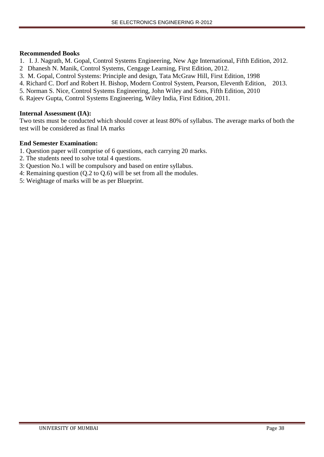### **Recommended Books**

- 1. I. J. Nagrath, M. Gopal, Control Systems Engineering, New Age International, Fifth Edition, 2012.
- 2 Dhanesh N. Manik, Control Systems, Cengage Learning, First Edition, 2012.
- 3. M. Gopal, Control Systems: Principle and design, Tata McGraw Hill, First Edition, 1998
- 4. Richard C. Dorf and Robert H. Bishop, Modern Control System, Pearson, Eleventh Edition, 2013.
- 5. Norman S. Nice, Control Systems Engineering, John Wiley and Sons, Fifth Edition, 2010
- 6. Rajeev Gupta, Control Systems Engineering, Wiley India, First Edition, 2011.

## **Internal Assessment (IA):**

Two tests must be conducted which should cover at least 80% of syllabus. The average marks of both the test will be considered as final IA marks

- 1. Question paper will comprise of 6 questions, each carrying 20 marks.
- 2. The students need to solve total 4 questions.
- 3: Question No.1 will be compulsory and based on entire syllabus.
- 4: Remaining question (Q.2 to Q.6) will be set from all the modules.
- 5: Weightage of marks will be as per Blueprint.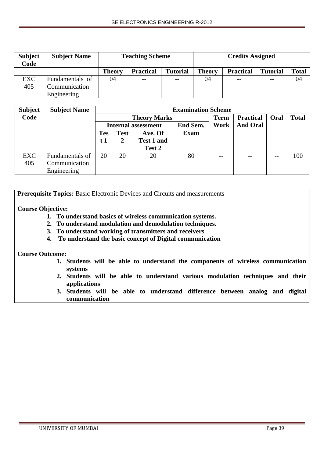| <b>Subject</b><br>Code | <b>Subject Name</b> |        | <b>Teaching Scheme</b> |                 | <b>Credits Assigned</b> |                  |                 |              |
|------------------------|---------------------|--------|------------------------|-----------------|-------------------------|------------------|-----------------|--------------|
|                        |                     | Theory | <b>Practical</b>       | <b>Tutorial</b> | <b>Theory</b>           | <b>Practical</b> | <b>Tutorial</b> | <b>Total</b> |
| <b>EXC</b>             | Fundamentals of     | 04     | $- -$                  | $- -$           | 04                      | $- -$            | --              | 04           |
| 405                    | Communication       |        |                        |                 |                         |                  |                 |              |
|                        | Engineering         |        |                        |                 |                         |                  |                 |              |

| <b>Subject</b> | <b>Subject Name</b> |                            | <b>Examination Scheme</b> |                   |             |       |                  |       |              |  |  |
|----------------|---------------------|----------------------------|---------------------------|-------------------|-------------|-------|------------------|-------|--------------|--|--|
| Code           |                     |                            | <b>Theory Marks</b>       |                   |             |       | <b>Practical</b> | Oral  | <b>Total</b> |  |  |
|                |                     | <b>Internal assessment</b> |                           |                   | End Sem.    | Work  | <b>And Oral</b>  |       |              |  |  |
|                |                     | <b>Tes</b>                 | <b>Test</b>               | Ave. Of           | <b>Exam</b> |       |                  |       |              |  |  |
|                |                     | t 1                        | 2                         | <b>Test 1 and</b> |             |       |                  |       |              |  |  |
|                |                     |                            |                           | Test 2            |             |       |                  |       |              |  |  |
| EXC            | Fundamentals of     | 20                         | 20                        | 20                | 80          | $- -$ |                  | $- -$ | 100          |  |  |
| 405            | Communication       |                            |                           |                   |             |       |                  |       |              |  |  |
|                | Engineering         |                            |                           |                   |             |       |                  |       |              |  |  |

**Prerequisite Topics***:* Basic Electronic Devices and Circuits and measurements

## **Course Objective:**

- **1. To understand basics of wireless communication systems.**
- **2. To understand modulation and demodulation techniques.**
- **3. To understand working of transmitters and receivers**
- **4. To understand the basic concept of Digital communication**

### **Course Outcome:**

- **1. Students will be able to understand the components of wireless communication systems**
- **2. Students will be able to understand various modulation techniques and their applications**
- **3. Students will be able to understand difference between analog and digital communication**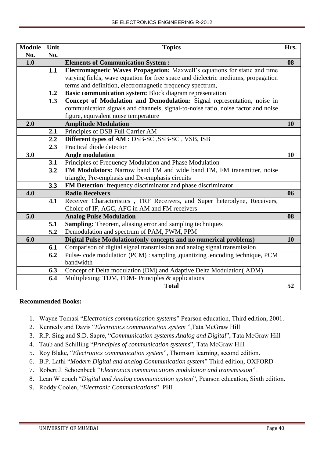| <b>Module</b> | Unit | <b>Topics</b>                                                                     | Hrs.      |  |  |  |  |  |  |
|---------------|------|-----------------------------------------------------------------------------------|-----------|--|--|--|--|--|--|
| No.           | No.  |                                                                                   |           |  |  |  |  |  |  |
| 1.0           |      | <b>Elements of Communication System:</b>                                          | 08        |  |  |  |  |  |  |
|               | 1.1  | Electromagnetic Waves Propagation: Maxwell's equations for static and time        |           |  |  |  |  |  |  |
|               |      | varying fields, wave equation for free space and dielectric mediums, propagation  |           |  |  |  |  |  |  |
|               |      | terms and definition, electromagnetic frequency spectrum,                         |           |  |  |  |  |  |  |
|               | 1.2  | Basic communication system: Block diagram representation                          |           |  |  |  |  |  |  |
|               | 1.3  | Concept of Modulation and Demodulation: Signal representation, noise in           |           |  |  |  |  |  |  |
|               |      | communication signals and channels, signal-to-noise ratio, noise factor and noise |           |  |  |  |  |  |  |
|               |      | figure, equivalent noise temperature                                              |           |  |  |  |  |  |  |
| 2.0           |      | <b>Amplitude Modulation</b>                                                       | <b>10</b> |  |  |  |  |  |  |
|               | 2.1  | Principles of DSB Full Carrier AM                                                 |           |  |  |  |  |  |  |
|               | 2.2  | <b>Different types of AM : DSB-SC, SSB-SC, VSB, ISB</b>                           |           |  |  |  |  |  |  |
|               | 2.3  | Practical diode detector                                                          |           |  |  |  |  |  |  |
| 3.0           |      | <b>Angle modulation</b>                                                           | 10        |  |  |  |  |  |  |
|               | 3.1  | Principles of Frequency Modulation and Phase Modulation                           |           |  |  |  |  |  |  |
|               | 3.2  | FM Modulators: Narrow band FM and wide band FM, FM transmitter, noise             |           |  |  |  |  |  |  |
|               |      | triangle, Pre-emphasis and De-emphasis circuits                                   |           |  |  |  |  |  |  |
|               | 3.3  | FM Detection: frequency discriminator and phase discriminator                     |           |  |  |  |  |  |  |
| 4.0           |      | <b>Radio Receivers</b>                                                            | 06        |  |  |  |  |  |  |
|               | 4.1  | Receiver Characteristics, TRF Receivers, and Super heterodyne, Receivers,         |           |  |  |  |  |  |  |
|               |      | Choice of IF, AGC, AFC in AM and FM receivers                                     |           |  |  |  |  |  |  |
| 5.0           |      | <b>Analog Pulse Modulation</b>                                                    | 08        |  |  |  |  |  |  |
|               | 5.1  | <b>Sampling:</b> Theorem, aliasing error and sampling techniques                  |           |  |  |  |  |  |  |
|               | 5.2  | Demodulation and spectrum of PAM, PWM, PPM                                        |           |  |  |  |  |  |  |
| 6.0           |      | Digital Pulse Modulation(only concepts and no numerical problems)                 | 10        |  |  |  |  |  |  |
|               | 6.1  | Comparison of digital signal transmission and analog signal transmission          |           |  |  |  |  |  |  |
|               | 6.2  | Pulse- code modulation (PCM) : sampling ,quantizing ,encoding technique, PCM      |           |  |  |  |  |  |  |
|               |      | bandwidth                                                                         |           |  |  |  |  |  |  |
|               | 6.3  | Concept of Delta modulation (DM) and Adaptive Delta Modulation (ADM)              |           |  |  |  |  |  |  |
|               | 6.4  | Multiplexing: TDM, FDM- Principles & applications                                 |           |  |  |  |  |  |  |
|               |      | <b>Total</b><br>52                                                                |           |  |  |  |  |  |  |

## **Recommended Books:**

- 1. Wayne Tomasi "*Electronics communication systems*" Pearson education, Third edition, 2001.
- 2. Kennedy and Davis "*Electronics communication system* ",Tata McGraw Hill
- 3. R.P. Sing and S.D. Sapre, "*Communication systems Analog and Digital*", Tata McGraw Hill
- 4. Taub and Schilling "*Principles of communication systems*", Tata McGraw Hill
- 5. Roy Blake, "*Electronics communication system*", Thomson learning, second edition.
- 6. B.P. Lathi "*Modern Digital and analog Communication system*" Third edition, OXFORD
- 7. Robert J. Schoenbeck "*Electronics communications modulation and transmission*".
- 8. Lean W couch "*Digital and Analog communication system*", Pearson education, Sixth edition.
- 9. Roddy Coolen, "*Electronic Communications*" PHI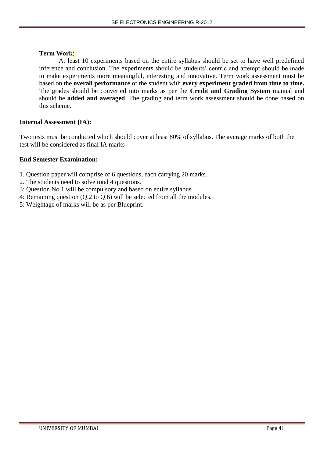## **Term Work**:

At least 10 experiments based on the entire syllabus should be set to have well predefined inference and conclusion. The experiments should be students' centric and attempt should be made to make experiments more meaningful, interesting and innovative. Term work assessment must be based on the **overall performance** of the student with **every experiment graded from time to time.** The grades should be converted into marks as per the **Credit and Grading System** manual and should be **added and averaged**. The grading and term work assessment should be done based on this scheme.

## **Internal Assessment (IA):**

Two tests must be conducted which should cover at least 80% of syllabus. The average marks of both the test will be considered as final IA marks

- 1. Question paper will comprise of 6 questions, each carrying 20 marks.
- 2. The students need to solve total 4 questions.
- 3: Question No.1 will be compulsory and based on entire syllabus.
- 4: Remaining question (Q.2 to Q.6) will be selected from all the modules.
- 5: Weightage of marks will be as per Blueprint.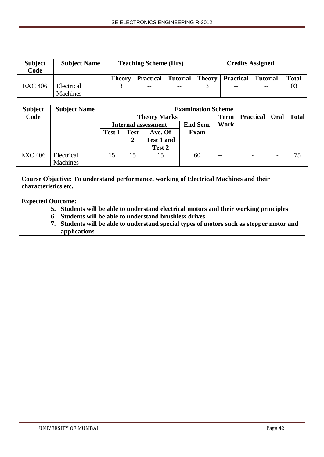| <b>Subject</b><br>Code | <b>Subject Name</b> |               | <b>Teaching Scheme (Hrs)</b> |                   | <b>Credits Assigned</b> |                  |                 |              |
|------------------------|---------------------|---------------|------------------------------|-------------------|-------------------------|------------------|-----------------|--------------|
|                        |                     | <b>Theory</b> | <b>Practical</b> Tutorial    |                   | <b>Theory</b>           | <b>Practical</b> | <b>Tutorial</b> | <b>Total</b> |
| <b>EXC 406</b>         | Electrical          |               | $- -$                        | $\qquad \qquad -$ |                         | $- -$            | --              | 03           |
|                        | <b>Machines</b>     |               |                              |                   |                         |                  |                 |              |

| <b>Subject</b> | <b>Subject Name</b> |                            | <b>Examination Scheme</b> |                   |             |       |                          |  |              |  |
|----------------|---------------------|----------------------------|---------------------------|-------------------|-------------|-------|--------------------------|--|--------------|--|
| Code           |                     |                            | <b>Theory Marks</b>       |                   |             |       | <b>Practical</b>   Oral  |  | <b>Total</b> |  |
|                |                     | <b>Internal assessment</b> |                           |                   | End Sem.    | Work  |                          |  |              |  |
|                |                     | <b>Test 1</b>              | <b>Test</b>               | Ave. Of           | <b>Exam</b> |       |                          |  |              |  |
|                |                     |                            |                           | <b>Test 1 and</b> |             |       |                          |  |              |  |
|                |                     |                            |                           | Test 2            |             |       |                          |  |              |  |
| <b>EXC 406</b> | Electrical          | 15                         | 15                        | 15                | 60          | $- -$ | $\overline{\phantom{a}}$ |  | 75           |  |
|                | <b>Machines</b>     |                            |                           |                   |             |       |                          |  |              |  |

**Course Objective: To understand performance, working of Electrical Machines and their characteristics etc.** 

**Expected Outcome:**

- **5. Students will be able to understand electrical motors and their working principles**
- **6. Students will be able to understand brushless drives**
- **7. Students will be able to understand special types of motors such as stepper motor and applications**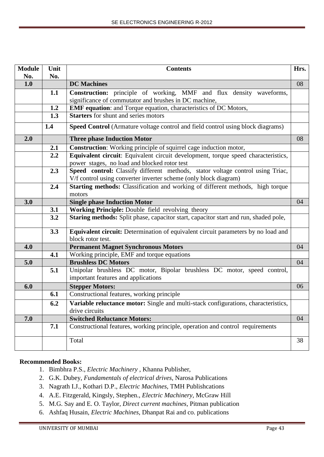| <b>Module</b> | Unit | <b>Contents</b>                                                                                                | Hrs. |  |  |  |  |  |  |  |
|---------------|------|----------------------------------------------------------------------------------------------------------------|------|--|--|--|--|--|--|--|
| No.           | No.  |                                                                                                                |      |  |  |  |  |  |  |  |
| 1.0           |      | <b>DC</b> Machines                                                                                             | 08   |  |  |  |  |  |  |  |
|               | 1.1  | Construction: principle of working, MMF and flux density waveforms,                                            |      |  |  |  |  |  |  |  |
|               |      | significance of commutator and brushes in DC machine,                                                          |      |  |  |  |  |  |  |  |
|               | 1.2  | EMF equation: and Torque equation, characteristics of DC Motors,                                               |      |  |  |  |  |  |  |  |
|               | 1.3  | <b>Starters</b> for shunt and series motors                                                                    |      |  |  |  |  |  |  |  |
|               | 1.4  | Speed Control (Armature voltage control and field control using block diagrams)                                |      |  |  |  |  |  |  |  |
| 2.0           |      | <b>Three phase Induction Motor</b>                                                                             | 08   |  |  |  |  |  |  |  |
|               | 2.1  | Construction: Working principle of squirrel cage induction motor,                                              |      |  |  |  |  |  |  |  |
|               | 2.2  | Equivalent circuit: Equivalent circuit development, torque speed characteristics,                              |      |  |  |  |  |  |  |  |
|               |      | power stages, no load and blocked rotor test                                                                   |      |  |  |  |  |  |  |  |
|               | 2.3  | Speed control: Classify different methods, stator voltage control using Triac,                                 |      |  |  |  |  |  |  |  |
|               |      | V/f control using converter inverter scheme (only block diagram)                                               |      |  |  |  |  |  |  |  |
|               | 2.4  | Starting methods: Classification and working of different methods, high torque                                 |      |  |  |  |  |  |  |  |
|               |      | motors                                                                                                         |      |  |  |  |  |  |  |  |
| 3.0           |      | <b>Single phase Induction Motor</b>                                                                            | 04   |  |  |  |  |  |  |  |
|               | 3.1  | Working Principle: Double field revolving theory                                                               |      |  |  |  |  |  |  |  |
|               | 3.2  | Staring methods: Split phase, capacitor start, capacitor start and run, shaded pole,                           |      |  |  |  |  |  |  |  |
|               | 3.3  | Equivalent circuit: Determination of equivalent circuit parameters by no load and                              |      |  |  |  |  |  |  |  |
|               |      | block rotor test.                                                                                              |      |  |  |  |  |  |  |  |
| 4.0           |      | <b>Permanent Magnet Synchronous Motors</b>                                                                     | 04   |  |  |  |  |  |  |  |
|               | 4.1  | Working principle, EMF and torque equations                                                                    |      |  |  |  |  |  |  |  |
| 5.0           |      | <b>Brushless DC Motors</b>                                                                                     | 04   |  |  |  |  |  |  |  |
|               | 5.1  | Unipolar brushless DC motor, Bipolar brushless DC motor, speed control,<br>important features and applications |      |  |  |  |  |  |  |  |
| 6.0           |      |                                                                                                                | 06   |  |  |  |  |  |  |  |
|               | 6.1  | <b>Stepper Motors:</b><br>Constructional features, working principle                                           |      |  |  |  |  |  |  |  |
|               |      |                                                                                                                |      |  |  |  |  |  |  |  |
|               | 6.2  | Variable reluctance motor: Single and multi-stack configurations, characteristics,<br>drive circuits           |      |  |  |  |  |  |  |  |
| 7.0           |      | <b>Switched Reluctance Motors:</b>                                                                             | 04   |  |  |  |  |  |  |  |
|               | 7.1  | Constructional features, working principle, operation and control requirements                                 |      |  |  |  |  |  |  |  |
|               |      | Total                                                                                                          | 38   |  |  |  |  |  |  |  |

## **Recommended Books:**

- 1. Bimbhra P.S., *Electric Machinery* , Khanna Publisher,
- 2. G.K. Dubey, *Fundamentals of electrical drives*, Narosa Publications
- 3. Nagrath I.J., Kothari D.P., *Electric Machines*, TMH Publishcations
- 4. A.E. Fitzgerald, Kingsly, Stephen., *Electric Machinery,* McGraw Hill
- 5. M.G. Say and E. O. Taylor, *Direct current machines*, Pitman publication
- 6. Ashfaq Husain, *Electric Machines*, Dhanpat Rai and co. publications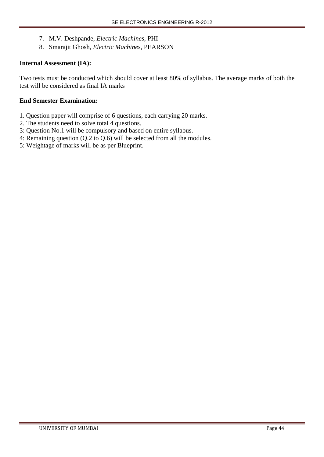- 7. M.V. Deshpande, *Electric Machines*, PHI
- 8. Smarajit Ghosh, *Electric Machines*, PEARSON

## **Internal Assessment (IA):**

Two tests must be conducted which should cover at least 80% of syllabus. The average marks of both the test will be considered as final IA marks

- 1. Question paper will comprise of 6 questions, each carrying 20 marks.
- 2. The students need to solve total 4 questions.
- 3: Question No.1 will be compulsory and based on entire syllabus.
- 4: Remaining question (Q.2 to Q.6) will be selected from all the modules.
- 5: Weightage of marks will be as per Blueprint.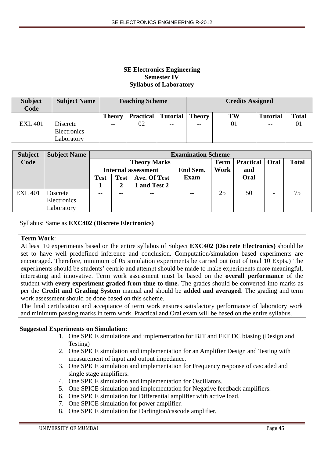## **SE Electronics Engineering Semester IV Syllabus of Laboratory**

| <b>Subject</b><br>Code | <b>Subject Name</b> |               | <b>Teaching Scheme</b> |                 | <b>Credits Assigned</b> |    |                 |              |
|------------------------|---------------------|---------------|------------------------|-----------------|-------------------------|----|-----------------|--------------|
|                        |                     | <b>Theory</b> | <b>Practical</b>       | <b>Tutorial</b> | <b>Theory</b>           | TW | <b>Tutorial</b> | <b>Total</b> |
| <b>EXL 401</b>         | Discrete            | --            | 02                     | $- -$           | $- -$                   | 01 | $- -$           |              |
|                        | Electronics         |               |                        |                 |                         |    |                 |              |
|                        | Laboratory          |               |                        |                 |                         |    |                 |              |

| <b>Subject</b> | <b>Subject Name</b> |                                            | <b>Examination Scheme</b> |                            |          |             |                  |      |              |  |  |
|----------------|---------------------|--------------------------------------------|---------------------------|----------------------------|----------|-------------|------------------|------|--------------|--|--|
| Code           |                     |                                            |                           | <b>Theory Marks</b>        |          | <b>Term</b> | <b>Practical</b> | Oral | <b>Total</b> |  |  |
|                |                     |                                            |                           | <b>Internal assessment</b> | End Sem. | Work        | and              |      |              |  |  |
|                |                     | <b>Test</b><br>Ave. Of Test<br><b>Test</b> |                           | <b>Exam</b>                |          | Oral        |                  |      |              |  |  |
|                |                     |                                            |                           | 1 and Test 2               |          |             |                  |      |              |  |  |
| <b>EXL 401</b> | Discrete            |                                            |                           |                            |          | 25          | 50               |      | 75           |  |  |
|                | Electronics         |                                            |                           |                            |          |             |                  |      |              |  |  |
|                | Laboratory          |                                            |                           |                            |          |             |                  |      |              |  |  |

Syllabus: Same as **EXC402 (Discrete Electronics)**

## **Term Work**:

At least 10 experiments based on the entire syllabus of Subject **EXC402 (Discrete Electronics)** should be set to have well predefined inference and conclusion. Computation/simulation based experiments are encouraged. Therefore, minimum of 05 simulation experiments be carried out (out of total 10 Expts.) The experiments should be students' centric and attempt should be made to make experiments more meaningful, interesting and innovative. Term work assessment must be based on the **overall performance** of the student with **every experiment graded from time to time.** The grades should be converted into marks as per the **Credit and Grading System** manual and should be **added and averaged**. The grading and term work assessment should be done based on this scheme.

The final certification and acceptance of term work ensures satisfactory performance of laboratory work and minimum passing marks in term work. Practical and Oral exam will be based on the entire syllabus.

## **Suggested Experiments on Simulation:**

- 1. One SPICE simulations and implementation for BJT and FET DC biasing (Design and Testing)
- 2. One SPICE simulation and implementation for an Amplifier Design and Testing with measurement of input and output impedance.
- 3. One SPICE simulation and implementation for Frequency response of cascaded and single stage amplifiers.
- 4. One SPICE simulation and implementation for Oscillators.
- 5. One SPICE simulation and implementation for Negative feedback amplifiers.
- 6. One SPICE simulation for Differential amplifier with active load.
- 7. One SPICE simulation for power amplifier.
- 8. One SPICE simulation for Darlington/cascode amplifier.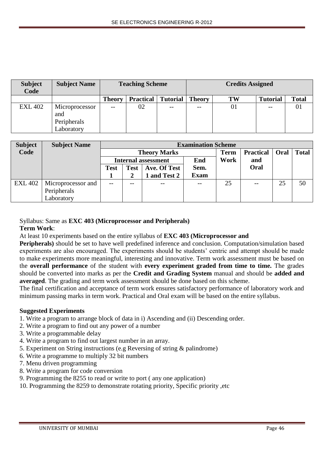| <b>Subject</b><br>Code | <b>Subject Name</b>                                |                   | <b>Teaching Scheme</b> |                 | <b>Credits Assigned</b> |    |                 |              |
|------------------------|----------------------------------------------------|-------------------|------------------------|-----------------|-------------------------|----|-----------------|--------------|
|                        |                                                    | <b>Theory</b>     | <b>Practical</b>       | <b>Tutorial</b> | <b>Theory</b>           | TW | <b>Tutorial</b> | <b>Total</b> |
| <b>EXL 402</b>         | Microprocessor<br>and<br>Peripherals<br>Laboratory | $\qquad \qquad -$ | 02                     | $- -$           | $- -$                   | 01 | $- -$           | 01           |

| <b>Subject</b> | <b>Subject Name</b> | <b>Examination Scheme</b>                  |  |                            |             |      |                  |      |              |  |
|----------------|---------------------|--------------------------------------------|--|----------------------------|-------------|------|------------------|------|--------------|--|
| Code           |                     |                                            |  | <b>Theory Marks</b>        |             | Term | <b>Practical</b> | Oral | <b>Total</b> |  |
|                |                     |                                            |  | <b>Internal assessment</b> | End         | Work | and              |      |              |  |
|                |                     | Ave. Of Test<br><b>Test</b><br><b>Test</b> |  | Sem.                       |             | Oral |                  |      |              |  |
|                |                     |                                            |  | and Test 2                 | <b>Exam</b> |      |                  |      |              |  |
| <b>EXL 402</b> | Microprocessor and  | $- -$                                      |  |                            | $-$         | 25   | $- -$            | 25   | 50           |  |
|                | Peripherals         |                                            |  |                            |             |      |                  |      |              |  |
|                | Laboratory          |                                            |  |                            |             |      |                  |      |              |  |

# Syllabus: Same as **EXC 403 (Microprocessor and Peripherals)**

### **Term Work**:

At least 10 experiments based on the entire syllabus of **EXC 403 (Microprocessor and**

**Peripherals)** should be set to have well predefined inference and conclusion. Computation/simulation based experiments are also encouraged. The experiments should be students' centric and attempt should be made to make experiments more meaningful, interesting and innovative. Term work assessment must be based on the **overall performance** of the student with **every experiment graded from time to time.** The grades should be converted into marks as per the **Credit and Grading System** manual and should be **added and averaged**. The grading and term work assessment should be done based on this scheme.

The final certification and acceptance of term work ensures satisfactory performance of laboratory work and minimum passing marks in term work. Practical and Oral exam will be based on the entire syllabus.

### **Suggested Experiments**

- 1. Write a program to arrange block of data in i) Ascending and (ii) Descending order.
- 2. Write a program to find out any power of a number
- 3. Write a programmable delay
- 4. Write a program to find out largest number in an array.
- 5. Experiment on String instructions (e.g Reversing of string & palindrome)
- 6. Write a programme to multiply 32 bit numbers
- 7. Menu driven programming
- 8. Write a program for code conversion
- 9. Programming the 8255 to read or write to port ( any one application)
- 10. Programming the 8259 to demonstrate rotating priority, Specific priority ,etc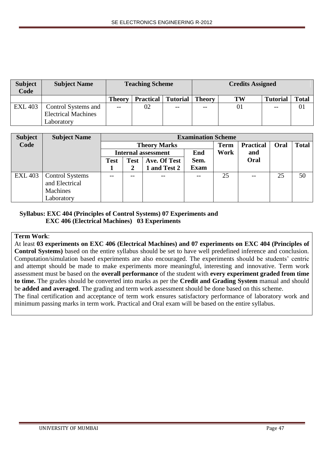| <b>Subject</b><br>Code | <b>Subject Name</b>                               |               | <b>Teaching Scheme</b> |                 | <b>Credits Assigned</b> |                |                 |              |
|------------------------|---------------------------------------------------|---------------|------------------------|-----------------|-------------------------|----------------|-----------------|--------------|
|                        |                                                   | <b>Theory</b> | <b>Practical</b>       | <b>Tutorial</b> | <b>Theory</b>           | TW             | <b>Tutorial</b> | <b>Total</b> |
| <b>EXL 403</b>         | Control Systems and<br><b>Electrical Machines</b> | $- -$         | 02                     | $- -$           | --                      | 0 <sub>1</sub> | $- -$           | 01           |
|                        | Laboratory                                        |               |                        |                 |                         |                |                 |              |

| <b>Subject</b> | <b>Subject Name</b>    | <b>Examination Scheme</b> |                             |                            |             |             |                  |      |              |
|----------------|------------------------|---------------------------|-----------------------------|----------------------------|-------------|-------------|------------------|------|--------------|
| Code           |                        |                           |                             | <b>Theory Marks</b>        |             | <b>Term</b> | <b>Practical</b> | Oral | <b>Total</b> |
|                |                        |                           |                             | <b>Internal assessment</b> | End         | Work        | and              |      |              |
|                |                        | <b>Test</b>               | Ave. Of Test<br><b>Test</b> |                            | Sem.        |             | Oral             |      |              |
|                |                        |                           |                             | and Test 2                 | <b>Exam</b> |             |                  |      |              |
| <b>EXL 403</b> | <b>Control Systems</b> |                           | --                          | $- -$                      | $- -$       | 25          | $- -$            | 25   | 50           |
|                | and Electrical         |                           |                             |                            |             |             |                  |      |              |
|                | Machines               |                           |                             |                            |             |             |                  |      |              |
|                | Laboratory             |                           |                             |                            |             |             |                  |      |              |

## **Syllabus: EXC 404 (Principles of Control Systems) 07 Experiments and EXC 406 (Electrical Machines) 03 Experiments**

### **Term Work**:

At least **03 experiments on EXC 406 (Electrical Machines) and 07 experiments on EXC 404 (Principles of Control Systems)** based on the entire syllabus should be set to have well predefined inference and conclusion. Computation/simulation based experiments are also encouraged. The experiments should be students' centric and attempt should be made to make experiments more meaningful, interesting and innovative. Term work assessment must be based on the **overall performance** of the student with **every experiment graded from time to time.** The grades should be converted into marks as per the **Credit and Grading System** manual and should be **added and averaged**. The grading and term work assessment should be done based on this scheme. The final certification and acceptance of term work ensures satisfactory performance of laboratory work and minimum passing marks in term work. Practical and Oral exam will be based on the entire syllabus.